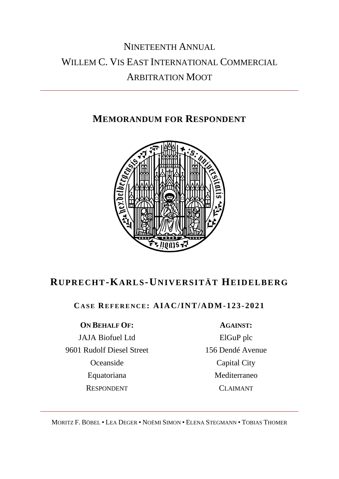# NINETEENTH ANNUAL WILLEM C. VIS EAST INTERNATIONAL COMMERCIAL ARBITRATION MOOT

# **MEMORANDUM FOR RESPONDENT**



# **RUPRE CHT-KARLS-UNIVERSITÄT HEIDELBERG**

# **CA S E RE F E R E N C E: AIAC/INT/ADM-123 -2021**

### **ON BEHALF OF: AGAINST:**

JAJA Biofuel Ltd 9601 Rudolf Diesel Street Oceanside Equatoriana RESPONDENT

ElGuP plc 156 Dendé Avenue Capital City Mediterraneo CLAIMANT

MORITZ F. BÖBEL • LEA DEGER • NOËMI SIMON • ELENA STEGMANN • TOBIAS THOMER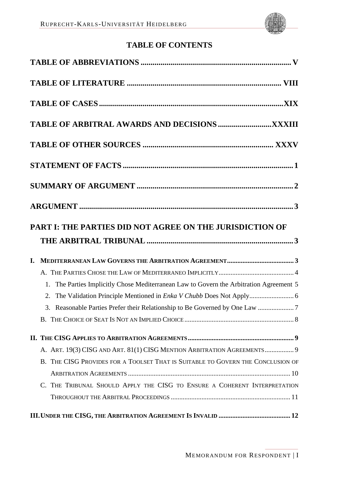

# **TABLE OF CONTENTS**

| PART I: THE PARTIES DID NOT AGREE ON THE JURISDICTION OF                                |
|-----------------------------------------------------------------------------------------|
|                                                                                         |
|                                                                                         |
|                                                                                         |
| 1. The Parties Implicitly Chose Mediterranean Law to Govern the Arbitration Agreement 5 |
|                                                                                         |
| 3. Reasonable Parties Prefer their Relationship to Be Governed by One Law 7             |
|                                                                                         |
|                                                                                         |
| A. ART. 19(3) CISG AND ART. 81(1) CISG MENTION ARBITRATION AGREEMENTS 9                 |
| B. THE CISG PROVIDES FOR A TOOLSET THAT IS SUITABLE TO GOVERN THE CONCLUSION OF         |
|                                                                                         |
| C. THE TRIBUNAL SHOULD APPLY THE CISG TO ENSURE A COHERENT INTERPRETATION               |
|                                                                                         |
|                                                                                         |
|                                                                                         |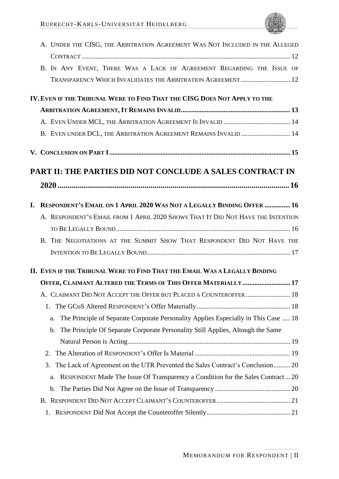|    | A. UNDER THE CISG, THE ARBITRATION AGREEMENT WAS NOT INCLUDED IN THE ALLEGED              |
|----|-------------------------------------------------------------------------------------------|
|    |                                                                                           |
|    | B. IN ANY EVENT, THERE WAS A LACK OF AGREEMENT REGARDING THE ISSUE OF                     |
|    | TRANSPARENCY WHICH INVALIDATES THE ARBITRATION AGREEMENT  12                              |
|    | IV. EVEN IF THE TRIBUNAL WERE TO FIND THAT THE CISG DOES NOT APPLY TO THE                 |
|    |                                                                                           |
|    |                                                                                           |
|    | B. EVEN UNDER DCL, THE ARBITRATION AGREEMENT REMAINS INVALID 14                           |
|    |                                                                                           |
|    |                                                                                           |
|    | PART II: THE PARTIES DID NOT CONCLUDE A SALES CONTRACT IN                                 |
|    |                                                                                           |
| I. | <b>RESPONDENT'S EMAIL ON 1 APRIL 2020 WAS NOT A LEGALLY BINDING OFFER  16</b>             |
|    | A. RESPONDENT'S EMAIL FROM 1 APRIL 2020 SHOWS THAT IT DID NOT HAVE THE INTENTION          |
|    |                                                                                           |
|    | B. THE NEGOTIATIONS AT THE SUMMIT SHOW THAT RESPONDENT DID NOT HAVE THE                   |
|    |                                                                                           |
|    | II. EVEN IF THE TRIBUNAL WERE TO FIND THAT THE EMAIL WAS A LEGALLY BINDING                |
|    | OFFER, CLAIMANT ALTERED THE TERMS OF THIS OFFER MATERIALLY  17                            |
|    | A. CLAIMANT DID NOT ACCEPT THE OFFER BUT PLACED A COUNTEROFFER  18                        |
|    | 1.                                                                                        |
|    | The Principle of Separate Corporate Personality Applies Especially in This Case  18<br>a. |
|    | The Principle Of Separate Corporate Personality Still Applies, Altough the Same<br>b.     |
|    |                                                                                           |
|    | 2.                                                                                        |
|    | The Lack of Agreement on the UTR Prevented the Sales Contract's Conclusion 20<br>3.       |
|    | RESPONDENT Made The Issue Of Transparency a Condition for the Sales Contract20<br>a.      |
|    | b.                                                                                        |
|    |                                                                                           |
|    | 1.                                                                                        |
|    |                                                                                           |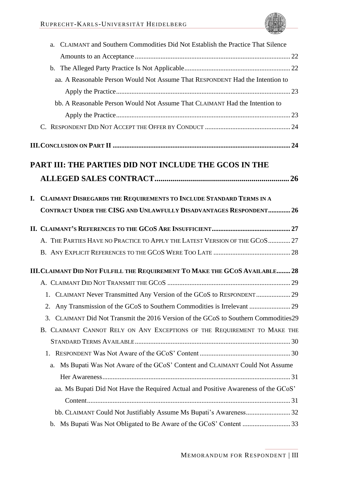| a. CLAIMANT and Southern Commodities Did Not Establish the Practice That Silence        |  |
|-----------------------------------------------------------------------------------------|--|
|                                                                                         |  |
|                                                                                         |  |
| aa. A Reasonable Person Would Not Assume That RESPONDENT Had the Intention to           |  |
|                                                                                         |  |
| bb. A Reasonable Person Would Not Assume That CLAIMANT Had the Intention to             |  |
|                                                                                         |  |
|                                                                                         |  |
|                                                                                         |  |
| PART III: THE PARTIES DID NOT INCLUDE THE GCOS IN THE                                   |  |
|                                                                                         |  |
| I. CLAIMANT DISREGARDS THE REQUIREMENTS TO INCLUDE STANDARD TERMS IN A                  |  |
| CONTRACT UNDER THE CISG AND UNLAWFULLY DISADVANTAGES RESPONDENT 26                      |  |
|                                                                                         |  |
| A. THE PARTIES HAVE NO PRACTICE TO APPLY THE LATEST VERSION OF THE GCOS  27             |  |
|                                                                                         |  |
| III. CLAIMANT DID NOT FULFILL THE REQUIREMENT TO MAKE THE GCOS AVAILABLE 28             |  |
|                                                                                         |  |
|                                                                                         |  |
| 2.                                                                                      |  |
| CLAIMANT Did Not Transmit the 2016 Version of the GCoS to Southern Commodities 29<br>3. |  |
| B. CLAIMANT CANNOT RELY ON ANY EXCEPTIONS OF THE REQUIREMENT TO MAKE THE                |  |
|                                                                                         |  |
|                                                                                         |  |
| Ms Bupati Was Not Aware of the GCoS' Content and CLAIMANT Could Not Assume<br>a.        |  |
|                                                                                         |  |
| aa. Ms Bupati Did Not Have the Required Actual and Positive Awareness of the GCoS'      |  |
|                                                                                         |  |
| bb. CLAIMANT Could Not Justifiably Assume Ms Bupati's Awareness 32                      |  |
|                                                                                         |  |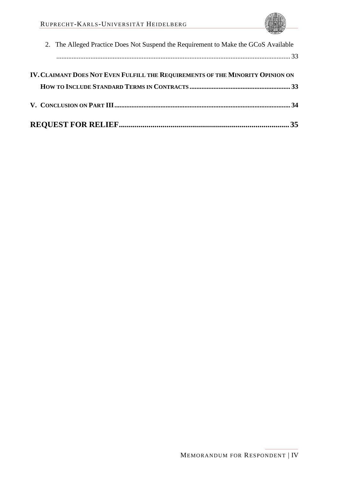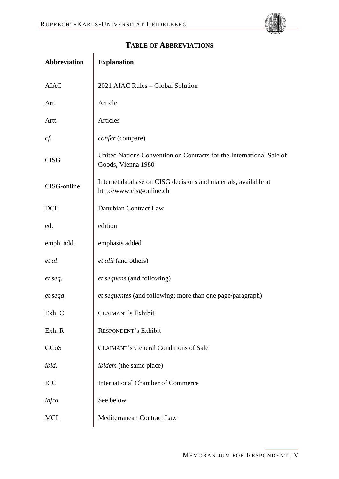<span id="page-5-0"></span>

| <b>Explanation</b>                                                                           |
|----------------------------------------------------------------------------------------------|
| 2021 AIAC Rules - Global Solution                                                            |
| Article                                                                                      |
| Articles                                                                                     |
| confer (compare)                                                                             |
| United Nations Convention on Contracts for the International Sale of<br>Goods, Vienna 1980   |
| Internet database on CISG decisions and materials, available at<br>http://www.cisg-online.ch |
| Danubian Contract Law                                                                        |
| edition                                                                                      |
| emphasis added                                                                               |
| et alii (and others)                                                                         |
| <i>et sequens</i> (and following)                                                            |
| et sequentes (and following; more than one page/paragraph)                                   |
| <b>CLAIMANT's Exhibit</b>                                                                    |
| <b>RESPONDENT's Exhibit</b>                                                                  |
| <b>CLAIMANT's General Conditions of Sale</b>                                                 |
| <i>ibidem</i> (the same place)                                                               |
| <b>International Chamber of Commerce</b>                                                     |
| See below                                                                                    |
| Mediterranean Contract Law                                                                   |
|                                                                                              |

# **TABLE OF ABBREVIATIONS**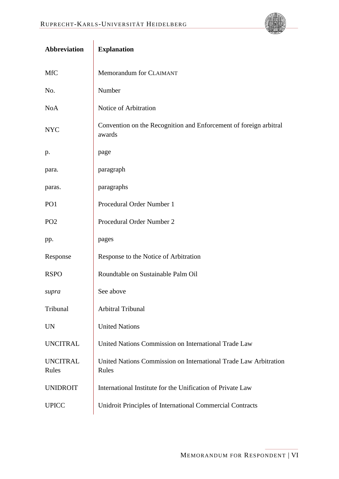| Abbreviation             | <b>Explanation</b>                                                          |
|--------------------------|-----------------------------------------------------------------------------|
| <b>MfC</b>               | Memorandum for CLAIMANT                                                     |
| No.                      | Number                                                                      |
| <b>NoA</b>               | Notice of Arbitration                                                       |
| <b>NYC</b>               | Convention on the Recognition and Enforcement of foreign arbitral<br>awards |
| p.                       | page                                                                        |
| para.                    | paragraph                                                                   |
| paras.                   | paragraphs                                                                  |
| PO <sub>1</sub>          | Procedural Order Number 1                                                   |
| PO <sub>2</sub>          | Procedural Order Number 2                                                   |
| pp.                      | pages                                                                       |
| Response                 | Response to the Notice of Arbitration                                       |
| <b>RSPO</b>              | Roundtable on Sustainable Palm Oil                                          |
| supra                    | See above                                                                   |
| Tribunal                 | Arbitral Tribunal                                                           |
| <b>UN</b>                | <b>United Nations</b>                                                       |
| <b>UNCITRAL</b>          | United Nations Commission on International Trade Law                        |
| <b>UNCITRAL</b><br>Rules | United Nations Commission on International Trade Law Arbitration<br>Rules   |
| <b>UNIDROIT</b>          | International Institute for the Unification of Private Law                  |
| <b>UPICC</b>             | Unidroit Principles of International Commercial Contracts                   |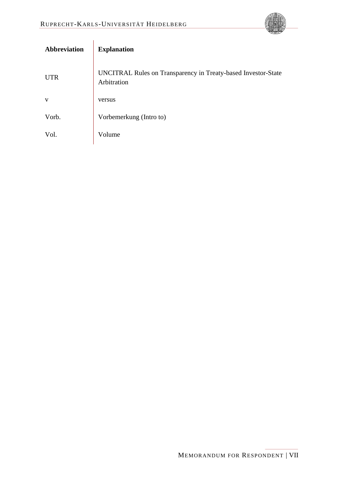

| <b>Abbreviation</b> | <b>Explanation</b>                                                           |
|---------------------|------------------------------------------------------------------------------|
| <b>UTR</b>          | UNCITRAL Rules on Transparency in Treaty-based Investor-State<br>Arbitration |
| V                   | versus                                                                       |
| Vorb.               | Vorbemerkung (Intro to)                                                      |
| Vol.                | Volume                                                                       |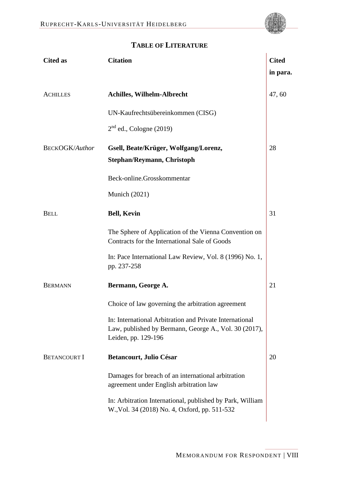

<span id="page-8-0"></span>

| <b>Cited as</b>       | <b>Citation</b>                                                                                                                         | <b>Cited</b> |
|-----------------------|-----------------------------------------------------------------------------------------------------------------------------------------|--------------|
|                       |                                                                                                                                         | in para.     |
| <b>ACHILLES</b>       | <b>Achilles, Wilhelm-Albrecht</b>                                                                                                       | 47,60        |
|                       | UN-Kaufrechtsübereinkommen (CISG)                                                                                                       |              |
|                       | $2nd$ ed., Cologne (2019)                                                                                                               |              |
| <b>BECKOGK/Author</b> | Gsell, Beate/Krüger, Wolfgang/Lorenz,<br>Stephan/Reymann, Christoph                                                                     | 28           |
|                       | Beck-online.Grosskommentar                                                                                                              |              |
|                       | Munich $(2021)$                                                                                                                         |              |
| <b>BELL</b>           | <b>Bell, Kevin</b>                                                                                                                      | 31           |
|                       | The Sphere of Application of the Vienna Convention on<br>Contracts for the International Sale of Goods                                  |              |
|                       | In: Pace International Law Review, Vol. 8 (1996) No. 1,<br>pp. 237-258                                                                  |              |
| <b>BERMANN</b>        | Bermann, George A.                                                                                                                      | 21           |
|                       | Choice of law governing the arbitration agreement                                                                                       |              |
|                       | In: International Arbitration and Private International<br>Law, published by Bermann, George A., Vol. 30 (2017),<br>Leiden, pp. 129-196 |              |
| <b>BETANCOURT I</b>   | <b>Betancourt, Julio César</b>                                                                                                          | 20           |
|                       | Damages for breach of an international arbitration<br>agreement under English arbitration law                                           |              |
|                       | In: Arbitration International, published by Park, William<br>W., Vol. 34 (2018) No. 4, Oxford, pp. 511-532                              |              |
|                       |                                                                                                                                         |              |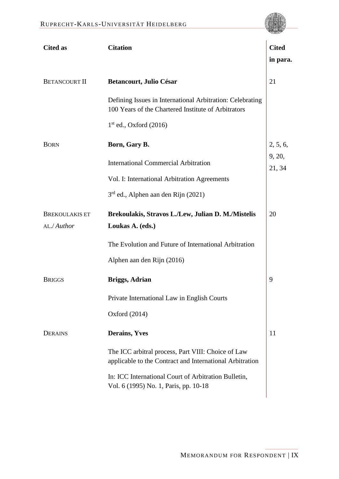| <b>Cited as</b>       | <b>Citation</b>                                                                                                  | <b>Cited</b>     |
|-----------------------|------------------------------------------------------------------------------------------------------------------|------------------|
|                       |                                                                                                                  | in para.         |
| <b>BETANCOURT II</b>  | <b>Betancourt, Julio César</b>                                                                                   | 21               |
|                       | Defining Issues in International Arbitration: Celebrating<br>100 Years of the Chartered Institute of Arbitrators |                  |
|                       | $1st$ ed., Oxford (2016)                                                                                         |                  |
| <b>BORN</b>           | Born, Gary B.                                                                                                    | 2, 5, 6,         |
|                       | <b>International Commercial Arbitration</b>                                                                      | 9, 20,<br>21, 34 |
|                       | Vol. I: International Arbitration Agreements                                                                     |                  |
|                       | 3 <sup>rd</sup> ed., Alphen aan den Rijn (2021)                                                                  |                  |
| <b>BREKOULAKIS ET</b> | Brekoulakis, Stravos L./Lew, Julian D. M./Mistelis                                                               | 20               |
| AL./Author            | Loukas A. (eds.)                                                                                                 |                  |
|                       | The Evolution and Future of International Arbitration                                                            |                  |
|                       | Alphen aan den Rijn (2016)                                                                                       |                  |
| <b>BRIGGS</b>         | <b>Briggs, Adrian</b>                                                                                            | 9                |
|                       | Private International Law in English Courts                                                                      |                  |
|                       | Oxford $(2014)$                                                                                                  |                  |
| <b>DERAINS</b>        | <b>Derains, Yves</b>                                                                                             | 11               |
|                       | The ICC arbitral process, Part VIII: Choice of Law<br>applicable to the Contract and International Arbitration   |                  |
|                       | In: ICC International Court of Arbitration Bulletin,<br>Vol. 6 (1995) No. 1, Paris, pp. 10-18                    |                  |
|                       |                                                                                                                  |                  |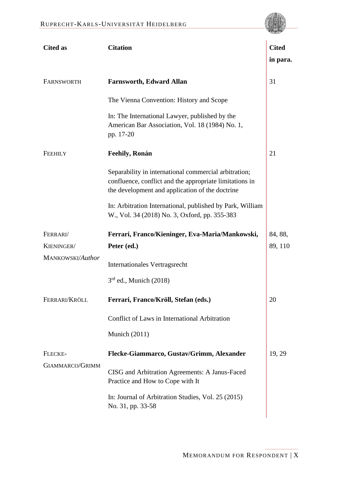| <b>Cited as</b>        | <b>Citation</b>                                                                                                                                                     | <b>Cited</b> |
|------------------------|---------------------------------------------------------------------------------------------------------------------------------------------------------------------|--------------|
|                        |                                                                                                                                                                     | in para.     |
| FARNSWORTH             | <b>Farnsworth, Edward Allan</b>                                                                                                                                     | 31           |
|                        | The Vienna Convention: History and Scope                                                                                                                            |              |
|                        | In: The International Lawyer, published by the<br>American Bar Association, Vol. 18 (1984) No. 1,<br>pp. 17-20                                                      |              |
| <b>FEEHILY</b>         | Feehily, Ronán                                                                                                                                                      | 21           |
|                        | Separability in international commercial arbitration;<br>confluence, conflict and the appropriate limitations in<br>the development and application of the doctrine |              |
|                        | In: Arbitration International, published by Park, William<br>W., Vol. 34 (2018) No. 3, Oxford, pp. 355-383                                                          |              |
| FERRARI/               | Ferrari, Franco/Kieninger, Eva-Maria/Mankowski,                                                                                                                     | 84, 88,      |
| KIENINGER/             | Peter (ed.)                                                                                                                                                         | 89, 110      |
| MANKOWSKI/Author       | Internationales Vertragsrecht                                                                                                                                       |              |
|                        | $3rd$ ed., Munich (2018)                                                                                                                                            |              |
| FERRARI/KRÖLL          | Ferrari, Franco/Kröll, Stefan (eds.)                                                                                                                                | 20           |
|                        | Conflict of Laws in International Arbitration                                                                                                                       |              |
|                        | Munich (2011)                                                                                                                                                       |              |
| FLECKE-                | Flecke-Giammarco, Gustav/Grimm, Alexander                                                                                                                           | 19, 29       |
| <b>GIAMMARCO/GRIMM</b> | CISG and Arbitration Agreements: A Janus-Faced<br>Practice and How to Cope with It                                                                                  |              |
|                        | In: Journal of Arbitration Studies, Vol. 25 (2015)<br>No. 31, pp. 33-58                                                                                             |              |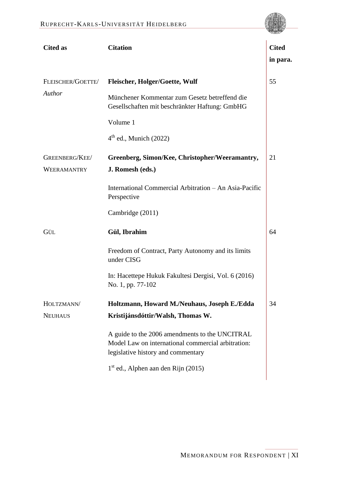| <b>Cited as</b>   | <b>Citation</b>                                                                                                                            | <b>Cited</b><br>in para. |
|-------------------|--------------------------------------------------------------------------------------------------------------------------------------------|--------------------------|
| FLEISCHER/GOETTE/ | <b>Fleischer, Holger/Goette, Wulf</b>                                                                                                      | 55                       |
| Author            | Münchener Kommentar zum Gesetz betreffend die<br>Gesellschaften mit beschränkter Haftung: GmbHG                                            |                          |
|                   | Volume 1                                                                                                                                   |                          |
|                   | $4th$ ed., Munich (2022)                                                                                                                   |                          |
| GREENBERG/KEE/    | Greenberg, Simon/Kee, Christopher/Weeramantry,                                                                                             | 21                       |
| WEERAMANTRY       | J. Romesh (eds.)                                                                                                                           |                          |
|                   | International Commercial Arbitration - An Asia-Pacific<br>Perspective                                                                      |                          |
|                   | Cambridge (2011)                                                                                                                           |                          |
| GÜL               | Gül, Ibrahim                                                                                                                               | 64                       |
|                   | Freedom of Contract, Party Autonomy and its limits<br>under CISG                                                                           |                          |
|                   | In: Hacettepe Hukuk Fakultesi Dergisi, Vol. 6 (2016)<br>No. 1, pp. 77-102                                                                  |                          |
| HOLTZMANN/        | Holtzmann, Howard M./Neuhaus, Joseph E./Edda                                                                                               | 34                       |
| <b>NEUHAUS</b>    | Kristijánsdóttir/Walsh, Thomas W.                                                                                                          |                          |
|                   | A guide to the 2006 amendments to the UNCITRAL<br>Model Law on international commercial arbitration:<br>legislative history and commentary |                          |
|                   | $1st$ ed., Alphen aan den Rijn (2015)                                                                                                      |                          |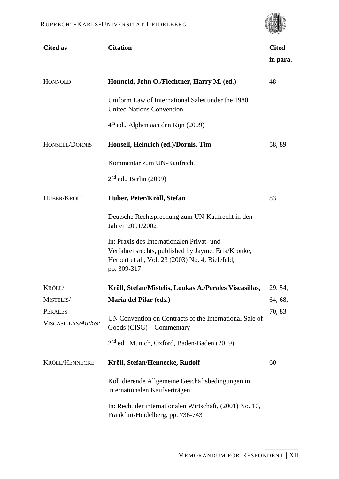

| <b>Cited as</b>                      | <b>Citation</b>                                                                                                                                                     | <b>Cited</b> |
|--------------------------------------|---------------------------------------------------------------------------------------------------------------------------------------------------------------------|--------------|
|                                      |                                                                                                                                                                     | in para.     |
| HONNOLD                              | Honnold, John O./Flechtner, Harry M. (ed.)                                                                                                                          | 48           |
|                                      | Uniform Law of International Sales under the 1980<br><b>United Nations Convention</b>                                                                               |              |
|                                      | 4 <sup>th</sup> ed., Alphen aan den Rijn (2009)                                                                                                                     |              |
| HONSELL/DORNIS                       | Honsell, Heinrich (ed.)/Dornis, Tim                                                                                                                                 | 58,89        |
|                                      | Kommentar zum UN-Kaufrecht                                                                                                                                          |              |
|                                      | $2nd$ ed., Berlin (2009)                                                                                                                                            |              |
| HUBER/KRÖLL                          | Huber, Peter/Kröll, Stefan                                                                                                                                          | 83           |
|                                      | Deutsche Rechtsprechung zum UN-Kaufrecht in den<br>Jahren 2001/2002                                                                                                 |              |
|                                      | In: Praxis des Internationalen Privat- und<br>Verfahrensrechts, published by Jayme, Erik/Kronke,<br>Herbert et al., Vol. 23 (2003) No. 4, Bielefeld,<br>pp. 309-317 |              |
| KRÖLL/                               | Kröll, Stefan/Mistelis, Loukas A./Perales Viscasillas,                                                                                                              | 29, 54,      |
| MISTELIS/                            | Maria del Pilar (eds.)                                                                                                                                              | 64, 68,      |
| <b>PERALES</b><br>VISCASILLAS/Author | UN Convention on Contracts of the International Sale of<br>Goods (CISG) – Commentary                                                                                | 70,83        |
|                                      | 2 <sup>nd</sup> ed., Munich, Oxford, Baden-Baden (2019)                                                                                                             |              |
| KRÖLL/HENNECKE                       | Kröll, Stefan/Hennecke, Rudolf                                                                                                                                      | 60           |
|                                      | Kollidierende Allgemeine Geschäftsbedingungen in<br>internationalen Kaufverträgen                                                                                   |              |
|                                      | In: Recht der internationalen Wirtschaft, (2001) No. 10,<br>Frankfurt/Heidelberg, pp. 736-743                                                                       |              |
|                                      |                                                                                                                                                                     |              |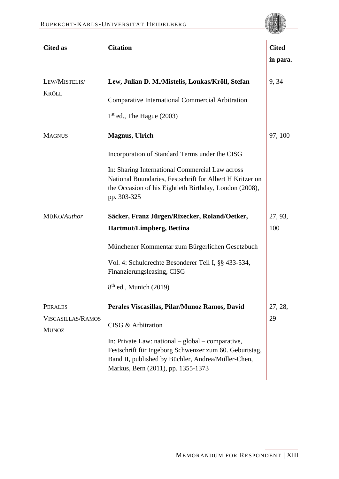

| <b>Cited as</b>                                            | <b>Citation</b>                                                                                                                                                                                                                                                                    | <b>Cited</b><br>in para. |
|------------------------------------------------------------|------------------------------------------------------------------------------------------------------------------------------------------------------------------------------------------------------------------------------------------------------------------------------------|--------------------------|
| LEW/MISTELIS/<br><b>KRÖLL</b>                              | Lew, Julian D. M./Mistelis, Loukas/Kröll, Stefan<br><b>Comparative International Commercial Arbitration</b><br>$1st$ ed., The Hague (2003)                                                                                                                                         | 9,34                     |
| <b>MAGNUS</b>                                              | <b>Magnus</b> , Ulrich<br>Incorporation of Standard Terms under the CISG<br>In: Sharing International Commercial Law across<br>National Boundaries, Festschrift for Albert H Kritzer on<br>the Occasion of his Eightieth Birthday, London (2008),<br>pp. 303-325                   | 97, 100                  |
| MÜKO/Author                                                | Säcker, Franz Jürgen/Rixecker, Roland/Oetker,<br>Hartmut/Limpberg, Bettina<br>Münchener Kommentar zum Bürgerlichen Gesetzbuch<br>Vol. 4: Schuldrechte Besonderer Teil I, §§ 433-534,<br>Finanzierungsleasing, CISG<br>$8th$ ed., Munich (2019)                                     | 27, 93,<br>100           |
| <b>PERALES</b><br><b>VISCASILLAS/RAMOS</b><br><b>MUNOZ</b> | Perales Viscasillas, Pilar/Munoz Ramos, David<br>CISG & Arbitration<br>In: Private Law: national $-$ global $-$ comparative,<br>Festschrift für Ingeborg Schwenzer zum 60. Geburtstag,<br>Band II, published by Büchler, Andrea/Müller-Chen,<br>Markus, Bern (2011), pp. 1355-1373 | 27, 28,<br>29            |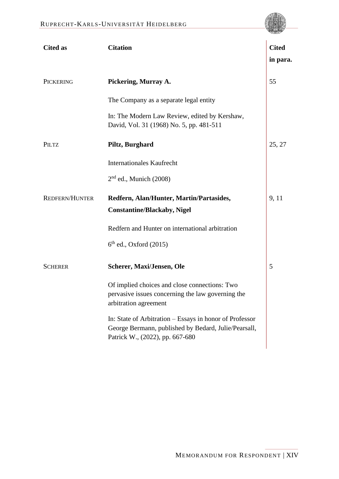**Cited as Citation Cited in para.** PICKERING **Pickering, Murray A.**  The Company as a separate legal entity In: The Modern Law Review, edited by Kershaw, David, Vol. 31 (1968) No. 5, pp. 481-511 [55](#page-53-5) PILTZ **Piltz, Burghard** Internationales Kaufrecht 2<sup>nd</sup> ed., Munich (2008) [25,](#page-44-2) [27](#page-45-8) REDFERN/HUNTER **Redfern, Alan/Hunter, Martin/Partasides, Constantine/Blackaby, Nigel** Redfern and Hunter on international arbitration 6 th ed., Oxford (2015) [9,](#page-40-5) [11](#page-40-6) SCHERER **Scherer, Maxi/Jensen, Ole** Of implied choices and close connections: Two pervasive issues concerning the law governing the arbitration agreement In: State of Arbitration – Essays in honor of Professor George Bermann, published by Bedard, Julie/Pearsall, Patrick W., (2022), pp. 667-680 [5](#page-39-3)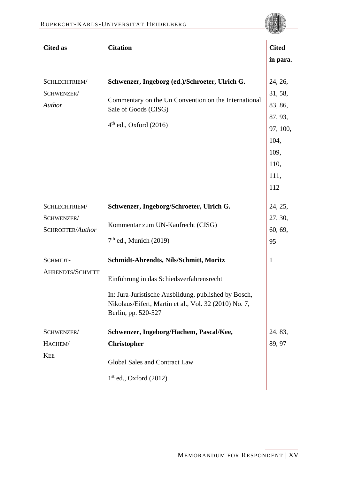

| <b>Cited as</b>                                 | <b>Citation</b>                                                                                                                                                                                                            | <b>Cited</b>                                                                 |
|-------------------------------------------------|----------------------------------------------------------------------------------------------------------------------------------------------------------------------------------------------------------------------------|------------------------------------------------------------------------------|
|                                                 |                                                                                                                                                                                                                            | in para.                                                                     |
| SCHLECHTRIEM/<br>SCHWENZER/<br>Author           | Schwenzer, Ingeborg (ed.)/Schroeter, Ulrich G.<br>Commentary on the Un Convention on the International<br>Sale of Goods (CISG)<br>$4th$ ed., Oxford (2016)                                                                 | 24, 26,<br>31, 58,<br>83, 86,<br>87, 93,<br>97, 100,<br>104,<br>109,<br>110, |
|                                                 |                                                                                                                                                                                                                            | 111,<br>112                                                                  |
| SCHLECHTRIEM/<br>SCHWENZER/<br>SCHROETER/Author | Schwenzer, Ingeborg/Schroeter, Ulrich G.<br>Kommentar zum UN-Kaufrecht (CISG)<br>$7th$ ed., Munich (2019)                                                                                                                  | 24, 25,<br>27, 30,<br>60, 69,<br>95                                          |
| SCHMIDT-<br>AHRENDTS/SCHMITT                    | Schmidt-Ahrendts, Nils/Schmitt, Moritz<br>Einführung in das Schiedsverfahrensrecht<br>In: Jura-Juristische Ausbildung, published by Bosch,<br>Nikolaus/Eifert, Martin et al., Vol. 32 (2010) No. 7,<br>Berlin, pp. 520-527 | $\mathbf{1}$                                                                 |
| SCHWENZER/<br>HACHEM/<br><b>KEE</b>             | Schwenzer, Ingeborg/Hachem, Pascal/Kee,<br><b>Christopher</b><br><b>Global Sales and Contract Law</b><br>$1st$ ed., Oxford (2012)                                                                                          | 24, 83,<br>89, 97                                                            |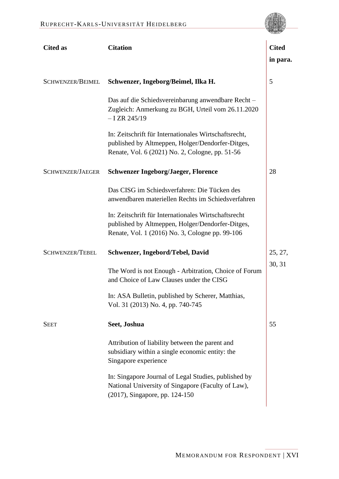| <b>Cited as</b>         | <b>Citation</b>                                                                                                                                              | <b>Cited</b> |
|-------------------------|--------------------------------------------------------------------------------------------------------------------------------------------------------------|--------------|
|                         |                                                                                                                                                              | in para.     |
| <b>SCHWENZER/BEIMEL</b> | Schwenzer, Ingeborg/Beimel, Ilka H.                                                                                                                          | 5            |
|                         | Das auf die Schiedsvereinbarung anwendbare Recht-<br>Zugleich: Anmerkung zu BGH, Urteil vom 26.11.2020<br>$-I$ ZR 245/19                                     |              |
|                         | In: Zeitschrift für Internationales Wirtschaftsrecht,<br>published by Altmeppen, Holger/Dendorfer-Ditges,<br>Renate, Vol. 6 (2021) No. 2, Cologne, pp. 51-56 |              |
| SCHWENZER/JAEGER        | <b>Schwenzer Ingeborg/Jaeger, Florence</b>                                                                                                                   | 28           |
|                         | Das CISG im Schiedsverfahren: Die Tücken des<br>anwendbaren materiellen Rechts im Schiedsverfahren                                                           |              |
|                         | In: Zeitschrift für Internationales Wirtschaftsrecht<br>published by Altmeppen, Holger/Dendorfer-Ditges,<br>Renate, Vol. 1 (2016) No. 3, Cologne pp. 99-106  |              |
| <b>SCHWENZER/TEBEL</b>  | Schwenzer, Ingebord/Tebel, David                                                                                                                             | 25, 27,      |
|                         | The Word is not Enough - Arbitration, Choice of Forum<br>and Choice of Law Clauses under the CISG                                                            | 30, 31       |
|                         | In: ASA Bulletin, published by Scherer, Matthias,<br>Vol. 31 (2013) No. 4, pp. 740-745                                                                       |              |
| <b>SEET</b>             | Seet, Joshua                                                                                                                                                 | 55           |
|                         | Attribution of liability between the parent and<br>subsidiary within a single economic entity: the<br>Singapore experience                                   |              |
|                         | In: Singapore Journal of Legal Studies, published by<br>National University of Singapore (Faculty of Law),<br>(2017), Singapore, pp. 124-150                 |              |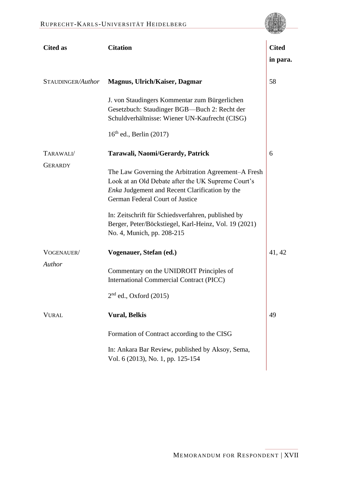| <b>Cited as</b>   | <b>Citation</b>                                                                                                                                                                                | <b>Cited</b><br>in para. |
|-------------------|------------------------------------------------------------------------------------------------------------------------------------------------------------------------------------------------|--------------------------|
| STAUDINGER/Author | <b>Magnus, Ulrich/Kaiser, Dagmar</b>                                                                                                                                                           | 58                       |
|                   | J. von Staudingers Kommentar zum Bürgerlichen<br>Gesetzbuch: Staudinger BGB-Buch 2: Recht der<br>Schuldverhältnisse: Wiener UN-Kaufrecht (CISG)                                                |                          |
|                   | $16th$ ed., Berlin (2017)                                                                                                                                                                      |                          |
| TARAWALI/         | Tarawali, Naomi/Gerardy, Patrick                                                                                                                                                               | 6                        |
| <b>GERARDY</b>    | The Law Governing the Arbitration Agreement–A Fresh<br>Look at an Old Debate after the UK Supreme Court's<br>Enka Judgement and Recent Clarification by the<br>German Federal Court of Justice |                          |
|                   | In: Zeitschrift für Schiedsverfahren, published by<br>Berger, Peter/Böckstiegel, Karl-Heinz, Vol. 19 (2021)<br>No. 4, Munich, pp. 208-215                                                      |                          |
| VOGENAUER/        | Vogenauer, Stefan (ed.)                                                                                                                                                                        | 41, 42                   |
| Author            | Commentary on the UNIDROIT Principles of<br>International Commercial Contract (PICC)                                                                                                           |                          |
|                   | $2nd$ ed., Oxford (2015)                                                                                                                                                                       |                          |
| <b>VURAL</b>      | <b>Vural, Belkis</b>                                                                                                                                                                           | 49                       |
|                   | Formation of Contract according to the CISG                                                                                                                                                    |                          |
|                   | In: Ankara Bar Review, published by Aksoy, Sema,<br>Vol. 6 (2013), No. 1, pp. 125-154                                                                                                          |                          |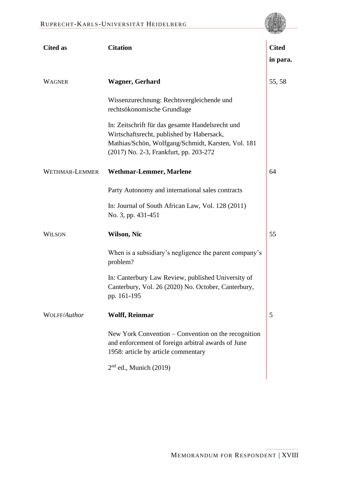| <b>Cited as</b> | <b>Citation</b>                                                                                                                                                                               | <b>Cited</b><br>in para. |
|-----------------|-----------------------------------------------------------------------------------------------------------------------------------------------------------------------------------------------|--------------------------|
| WAGNER          | <b>Wagner, Gerhard</b>                                                                                                                                                                        | 55, 58                   |
|                 | Wissenzurechnung: Rechtsvergleichende und<br>rechtsökonomische Grundlage                                                                                                                      |                          |
|                 | In: Zeitschrift für das gesamte Handelsrecht und<br>Wirtschaftsrecht, published by Habersack,<br>Mathias/Schön, Wolfgang/Schmidt, Karsten, Vol. 181<br>(2017) No. 2-3, Frankfurt, pp. 203-272 |                          |
| WETHMAR-LEMMER  | <b>Wethmar-Lemmer, Marlene</b>                                                                                                                                                                | 64                       |
|                 | Party Autonomy and international sales contracts                                                                                                                                              |                          |
|                 | In: Journal of South African Law, Vol. 128 (2011)<br>No. 3, pp. 431-451                                                                                                                       |                          |
| WILSON          | <b>Wilson, Nic</b>                                                                                                                                                                            | 55                       |
|                 | When is a subsidiary's negligence the parent company's<br>problem?                                                                                                                            |                          |
|                 | In: Canterbury Law Review, published University of<br>Canterbury, Vol. 26 (2020) No. October, Canterbury,<br>pp. 161-195                                                                      |                          |
| WOLFF/Author    | <b>Wolff, Reinmar</b>                                                                                                                                                                         | 5                        |
|                 | New York Convention – Convention on the recognition<br>and enforcement of foreign arbitral awards of June<br>1958: article by article commentary                                              |                          |
|                 | $2nd$ ed., Munich (2019)                                                                                                                                                                      |                          |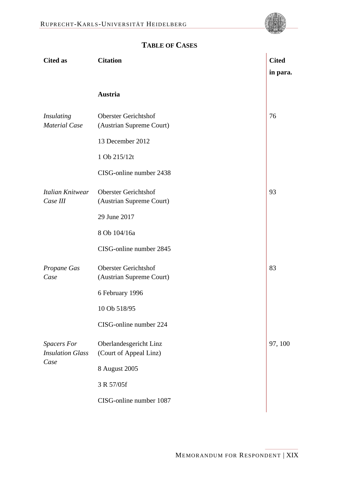

<span id="page-19-0"></span>

| <b>Cited as</b>                                       | <b>Citation</b>                                         | <b>Cited</b> |
|-------------------------------------------------------|---------------------------------------------------------|--------------|
|                                                       |                                                         | in para.     |
|                                                       | Austria                                                 |              |
| <b>Insulating</b><br><b>Material Case</b>             | <b>Oberster Gerichtshof</b><br>(Austrian Supreme Court) | 76           |
|                                                       | 13 December 2012                                        |              |
|                                                       | 1 Ob 215/12t                                            |              |
|                                                       | CISG-online number 2438                                 |              |
| Italian Knitwear<br>Case III                          | <b>Oberster Gerichtshof</b><br>(Austrian Supreme Court) | 93           |
|                                                       | 29 June 2017                                            |              |
|                                                       | 8 Ob 104/16a                                            |              |
|                                                       | CISG-online number 2845                                 |              |
| Propane Gas<br>Case                                   | <b>Oberster Gerichtshof</b><br>(Austrian Supreme Court) | 83           |
|                                                       | 6 February 1996                                         |              |
|                                                       | 10 Ob 518/95                                            |              |
|                                                       | CISG-online number 224                                  |              |
| <b>Spacers For</b><br><b>Insulation Glass</b><br>Case | Oberlandesgericht Linz<br>(Court of Appeal Linz)        | 97, 100      |
|                                                       | 8 August 2005                                           |              |
|                                                       | 3 R 57/05f                                              |              |
|                                                       | CISG-online number 1087                                 |              |
|                                                       |                                                         |              |

# **TABLE OF CASES**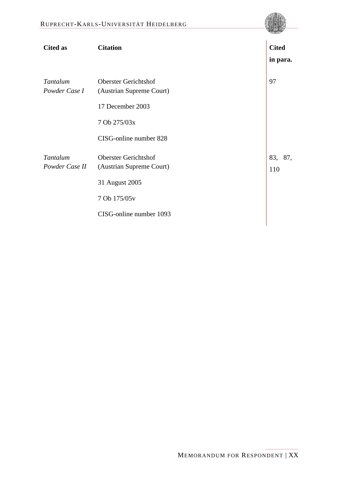| <b>Cited as</b>            | <b>Citation</b>                                                           | <b>Cited</b><br>in para. |
|----------------------------|---------------------------------------------------------------------------|--------------------------|
| Tantalum<br>Powder Case I  | <b>Oberster Gerichtshof</b><br>(Austrian Supreme Court)                   | 97                       |
|                            | 17 December 2003                                                          |                          |
|                            | 7 Ob 275/03x                                                              |                          |
|                            | CISG-online number 828                                                    |                          |
| Tantalum<br>Powder Case II | <b>Oberster Gerichtshof</b><br>(Austrian Supreme Court)<br>31 August 2005 | 83, 87,<br>110           |
|                            | 7 Ob 175/05v                                                              |                          |
|                            | CISG-online number 1093                                                   |                          |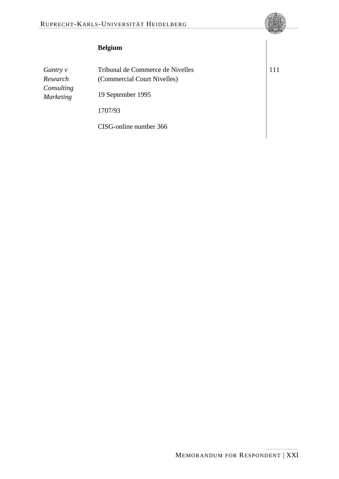## $Belgium$

*Gantry v Research Consulting Marketing*

Tribunal de Commerce de Nivelles (Commercial Court Nivelles) 19 September 1995 1707/93

CISG-online number 366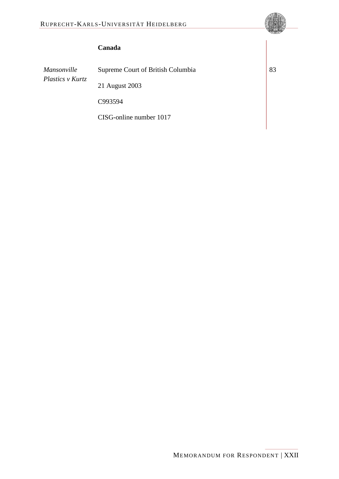### **Canada 10**

*Mansonville Plastics v Kurtz* 

Supreme Court of British Columbia 21 August 2003 C993594

CISG-online number 1017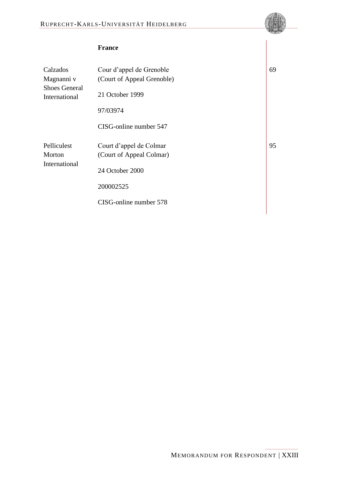### **France**

| Calzados<br>Magnanni v                 | Cour d'appel de Grenoble<br>(Court of Appeal Grenoble) |
|----------------------------------------|--------------------------------------------------------|
| <b>Shoes General</b><br>International  | 21 October 1999                                        |
|                                        | 97/03974                                               |
|                                        | CISG-online number 547                                 |
| Pelliculest<br>Morton<br>International | Court d'appel de Colmar<br>(Court of Appeal Colmar)    |
|                                        | 24 October 2000                                        |
|                                        | 200002525                                              |
|                                        | CISG-online number 578                                 |

[69](#page-57-4)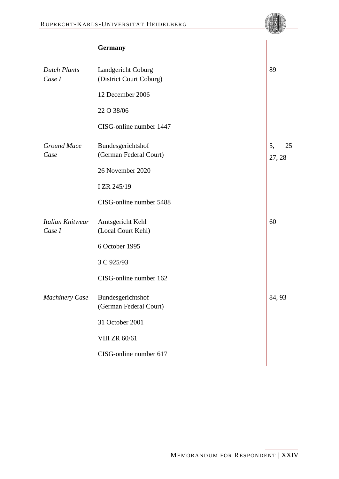|                               | <b>Germany</b>                                |                    |
|-------------------------------|-----------------------------------------------|--------------------|
| <b>Dutch Plants</b><br>Case I | Landgericht Coburg<br>(District Court Coburg) | 89                 |
|                               | 12 December 2006                              |                    |
|                               | 22 O 38/06                                    |                    |
|                               | CISG-online number 1447                       |                    |
| <b>Ground Mace</b><br>Case    | Bundesgerichtshof<br>(German Federal Court)   | 5,<br>25<br>27, 28 |
|                               | 26 November 2020                              |                    |
|                               | I ZR 245/19                                   |                    |
|                               | CISG-online number 5488                       |                    |
| Italian Knitwear<br>Case I    | Amtsgericht Kehl<br>(Local Court Kehl)        | 60                 |
|                               | 6 October 1995                                |                    |
|                               | 3 C 925/93                                    |                    |
|                               | CISG-online number 162                        |                    |
| <b>Machinery Case</b>         | Bundesgerichtshof<br>(German Federal Court)   | 84, 93             |
|                               | 31 October 2001                               |                    |
|                               | <b>VIII ZR 60/61</b>                          |                    |
|                               | CISG-online number 617                        |                    |
|                               |                                               |                    |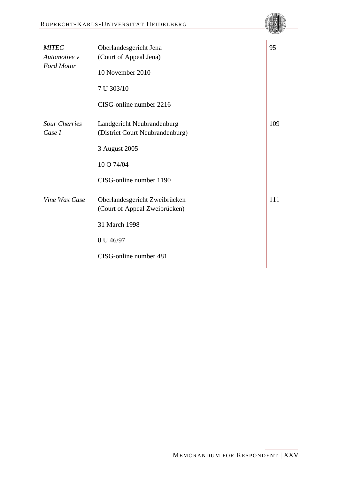| <b>MITEC</b><br>Automotive v   | Oberlandesgericht Jena<br>(Court of Appeal Jena)               | 95  |
|--------------------------------|----------------------------------------------------------------|-----|
| <b>Ford Motor</b>              | 10 November 2010                                               |     |
|                                | 7 U 303/10                                                     |     |
|                                | CISG-online number 2216                                        |     |
| <b>Sour Cherries</b><br>Case I | Landgericht Neubrandenburg<br>(District Court Neubrandenburg)  | 109 |
|                                | 3 August 2005                                                  |     |
|                                | 10 O 74/04                                                     |     |
|                                | CISG-online number 1190                                        |     |
| Vine Wax Case                  | Oberlandesgericht Zweibrücken<br>(Court of Appeal Zweibrücken) | 111 |
|                                | 31 March 1998                                                  |     |
|                                | 8 U 46/97                                                      |     |
|                                | CISG-online number 481                                         |     |
|                                |                                                                |     |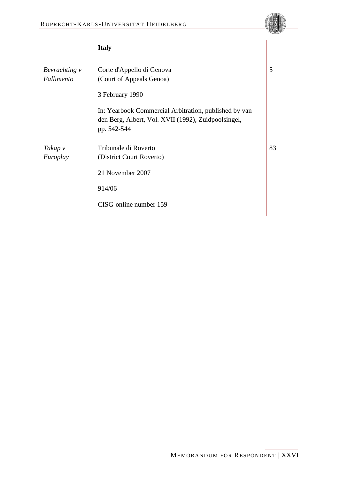### **Italy 20**

| Bevrachting v<br>Fallimento | Corte d'Appello di Genova<br>(Court of Appeals Genoa)                                                                       | 5  |
|-----------------------------|-----------------------------------------------------------------------------------------------------------------------------|----|
|                             | 3 February 1990                                                                                                             |    |
|                             | In: Yearbook Commercial Arbitration, published by van<br>den Berg, Albert, Vol. XVII (1992), Zuidpoolsingel,<br>pp. 542-544 |    |
| Takap v                     | Tribunale di Roverto                                                                                                        | 83 |
| Europlay                    | (District Court Roverto)                                                                                                    |    |
|                             | 21 November 2007                                                                                                            |    |
|                             | 914/06                                                                                                                      |    |
|                             | CISG-online number 159                                                                                                      |    |
|                             |                                                                                                                             |    |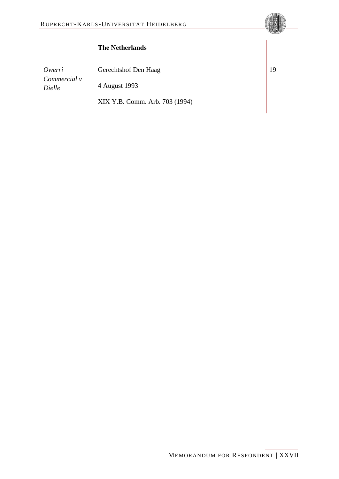### **The Netherlands 23**

*Owerri Commercial v Dielle*

Gerechtshof Den Haag

4 August 1993

XIX Y.B. Comm. Arb. 703 (1994)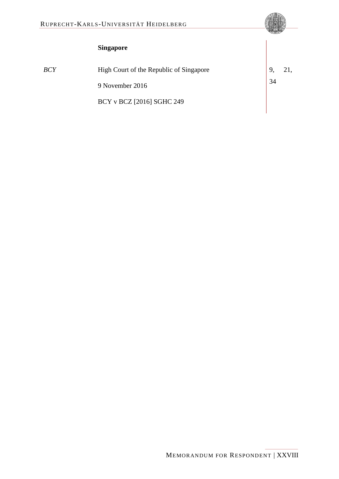# $Singapore$

| ×<br>۰, |
|---------|
|---------|

| BCY | High Court of the Republic of Singapore |    | 21, |
|-----|-----------------------------------------|----|-----|
|     | 9 November 2016                         | 34 |     |
|     | BCY v BCZ [2016] SGHC 249               |    |     |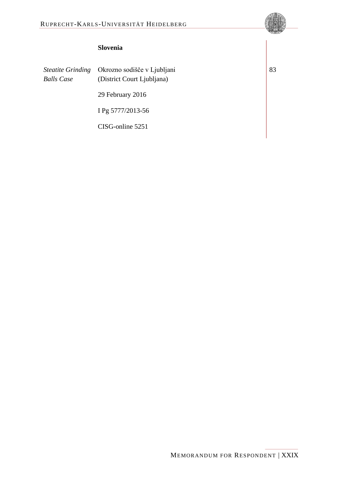### **Slovenia**

*Steatite Grinding Balls Case*

Okrozno sodišče v Ljubljani (District Court Ljubljana) 29 February 2016

I Pg 5777/2013-56

CISG-online 5251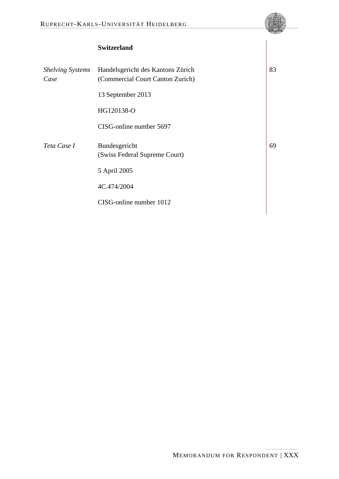# **Switzerland**

| <b>Shelving Systems</b><br>Case | Handelsgericht des Kantons Zürich<br>(Commercial Court Canton Zurich) |
|---------------------------------|-----------------------------------------------------------------------|
|                                 | 13 September 2013                                                     |
|                                 | HG120138-O                                                            |
|                                 | CISG-online number 5697                                               |
| Teta Case I                     | Bundesgericht<br>(Swiss Federal Supreme Court)                        |
|                                 | 5 April 2005                                                          |
|                                 | 4C.474/2004                                                           |
|                                 | CISG-online number 1012                                               |

**30** [83](#page-62-10)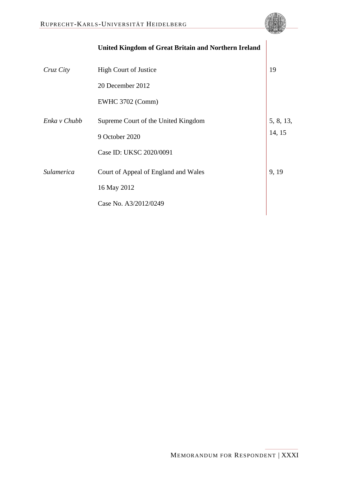|                   | <b>United Kingdom of Great Britain and Northern Ireland</b> |           |
|-------------------|-------------------------------------------------------------|-----------|
| Cruz City         | <b>High Court of Justice</b>                                | 19        |
|                   | 20 December 2012                                            |           |
|                   | <b>EWHC 3702 (Comm)</b>                                     |           |
| Enka v Chubb      | Supreme Court of the United Kingdom                         | 5, 8, 13, |
|                   | 9 October 2020                                              | 14, 15    |
|                   | Case ID: UKSC 2020/0091                                     |           |
| <b>Sulamerica</b> | Court of Appeal of England and Wales                        | 9, 19     |
|                   | 16 May 2012                                                 |           |
|                   | Case No. A3/2012/0249                                       |           |
|                   |                                                             |           |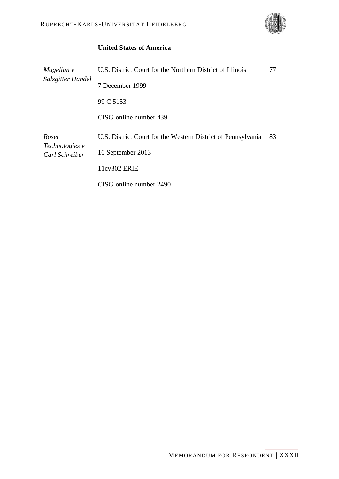|                                           | United States of America                                     |    |
|-------------------------------------------|--------------------------------------------------------------|----|
| Magellan v<br>Salzgitter Handel           | U.S. District Court for the Northern District of Illinois    | 77 |
|                                           | 7 December 1999                                              |    |
|                                           | 99 C 5153                                                    |    |
|                                           | CISG-online number 439                                       |    |
| Roser<br>Technologies v<br>Carl Schreiber | U.S. District Court for the Western District of Pennsylvania | 83 |
|                                           | 10 September 2013                                            |    |
|                                           | 11cv302 ERIE                                                 |    |
|                                           | CISG-online number 2490                                      |    |
|                                           |                                                              |    |

# **United States of Americ**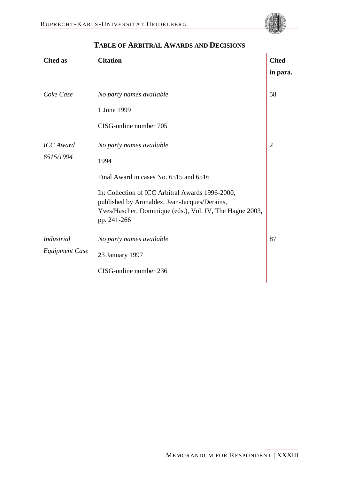<span id="page-33-0"></span>

### **TABLE OF ARBITRAL AWARDS AND DECISIONS**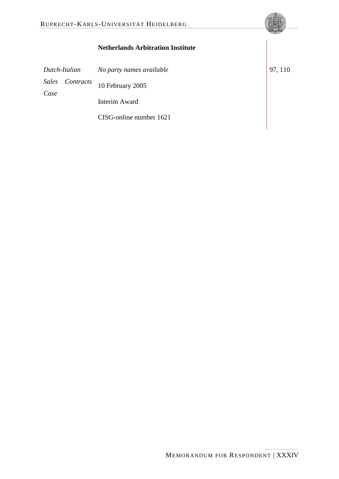|                                                    | IN REAL ORDER THE HEID BEEN G                |         |
|----------------------------------------------------|----------------------------------------------|---------|
|                                                    | <b>Netherlands Arbitration Institute</b>     |         |
| Dutch-Italian<br><b>Sales</b><br>Contracts<br>Case | No party names available<br>10 February 2005 | 97, 110 |
|                                                    | <b>Interim Award</b>                         |         |
|                                                    | CISG-online number 1621                      |         |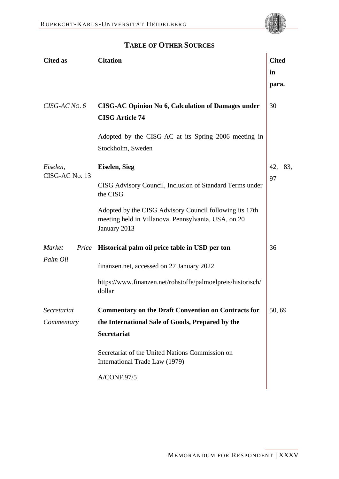

 $\overline{1}$ 

<span id="page-35-0"></span>

| <b>Cited as</b>             | <b>Citation</b>                                                                                                                | <b>Cited</b> |
|-----------------------------|--------------------------------------------------------------------------------------------------------------------------------|--------------|
|                             |                                                                                                                                | in           |
|                             |                                                                                                                                | para.        |
| CISG-AC No. 6               | <b>CISG-AC Opinion No 6, Calculation of Damages under</b><br><b>CISG Article 74</b>                                            | 30           |
|                             | Adopted by the CISG-AC at its Spring 2006 meeting in<br>Stockholm, Sweden                                                      |              |
| Eiselen,                    | <b>Eiselen, Sieg</b>                                                                                                           | 42,<br>83,   |
| CISG-AC No. 13              | CISG Advisory Council, Inclusion of Standard Terms under<br>the CISG                                                           | 97           |
|                             | Adopted by the CISG Advisory Council following its 17th<br>meeting held in Villanova, Pennsylvania, USA, on 20<br>January 2013 |              |
| Market<br>Price<br>Palm Oil | Historical palm oil price table in USD per ton                                                                                 | 36           |
|                             | finanzen.net, accessed on 27 January 2022                                                                                      |              |
|                             | https://www.finanzen.net/rohstoffe/palmoelpreis/historisch/<br>dollar                                                          |              |
| Secretariat                 | <b>Commentary on the Draft Convention on Contracts for</b>                                                                     | 50, 69       |
| Commentary                  | the International Sale of Goods, Prepared by the                                                                               |              |
|                             | <b>Secretariat</b>                                                                                                             |              |
|                             | Secretariat of the United Nations Commission on<br>International Trade Law (1979)                                              |              |
|                             | A/CONF.97/5                                                                                                                    |              |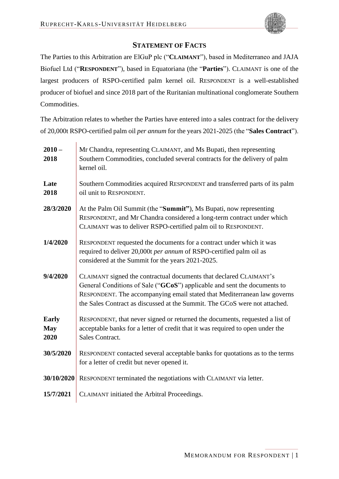

### **STATEMENT OF FACTS**

<span id="page-36-0"></span>The Parties to this Arbitration are ElGuP plc ("**CLAIMANT**"), based in Mediterraneo and JAJA Biofuel Ltd ("**RESPONDENT**"), based in Equatoriana (the "**Parties**"). CLAIMANT is one of the largest producers of RSPO-certified palm kernel oil. RESPONDENT is a well-established producer of biofuel and since 2018 part of the Ruritanian multinational conglomerate Southern **Commodities** 

The Arbitration relates to whether the Parties have entered into a sales contract for the delivery of 20,000t RSPO-certified palm oil *per annum* for the years 2021-2025 (the "**Sales Contract**").

| $2010 -$<br>2018                   | Mr Chandra, representing CLAIMANT, and Ms Bupati, then representing<br>Southern Commodities, concluded several contracts for the delivery of palm<br>kernel oil.                                                                                                                                         |
|------------------------------------|----------------------------------------------------------------------------------------------------------------------------------------------------------------------------------------------------------------------------------------------------------------------------------------------------------|
| Late<br>2018                       | Southern Commodities acquired RESPONDENT and transferred parts of its palm<br>oil unit to RESPONDENT.                                                                                                                                                                                                    |
| 28/3/2020                          | At the Palm Oil Summit (the "Summit"), Ms Bupati, now representing<br>RESPONDENT, and Mr Chandra considered a long-term contract under which<br>CLAIMANT was to deliver RSPO-certified palm oil to RESPONDENT.                                                                                           |
| 1/4/2020                           | RESPONDENT requested the documents for a contract under which it was<br>required to deliver 20,000t per annum of RSPO-certified palm oil as<br>considered at the Summit for the years 2021-2025.                                                                                                         |
| 9/4/2020                           | CLAIMANT signed the contractual documents that declared CLAIMANT's<br>General Conditions of Sale ("GCoS") applicable and sent the documents to<br>RESPONDENT. The accompanying email stated that Mediterranean law governs<br>the Sales Contract as discussed at the Summit. The GCoS were not attached. |
| <b>Early</b><br><b>May</b><br>2020 | RESPONDENT, that never signed or returned the documents, requested a list of<br>acceptable banks for a letter of credit that it was required to open under the<br>Sales Contract.                                                                                                                        |
| 30/5/2020                          | RESPONDENT contacted several acceptable banks for quotations as to the terms<br>for a letter of credit but never opened it.                                                                                                                                                                              |
| 30/10/2020                         | RESPONDENT terminated the negotiations with CLAIMANT via letter.                                                                                                                                                                                                                                         |
| 15/7/2021                          | CLAIMANT initiated the Arbitral Proceedings.                                                                                                                                                                                                                                                             |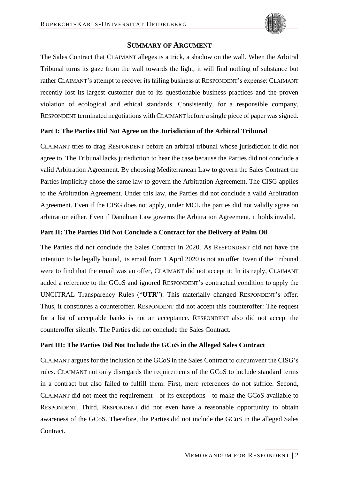

<span id="page-37-0"></span>The Sales Contract that CLAIMANT alleges is a trick, a shadow on the wall. When the Arbitral Tribunal turns its gaze from the wall towards the light, it will find nothing of substance but rather CLAIMANT's attempt to recover its failing business at RESPONDENT's expense: CLAIMANT recently lost its largest customer due to its questionable business practices and the proven violation of ecological and ethical standards. Consistently, for a responsible company, RESPONDENT terminated negotiations with CLAIMANT before a single piece of paper was signed.

#### **Part I: The Parties Did Not Agree on the Jurisdiction of the Arbitral Tribunal**

CLAIMANT tries to drag RESPONDENT before an arbitral tribunal whose jurisdiction it did not agree to. The Tribunal lacks jurisdiction to hear the case because the Parties did not conclude a valid Arbitration Agreement. By choosing Mediterranean Law to govern the Sales Contract the Parties implicitly chose the same law to govern the Arbitration Agreement. The CISG applies to the Arbitration Agreement. Under this law, the Parties did not conclude a valid Arbitration Agreement. Even if the CISG does not apply, under MCL the parties did not validly agree on arbitration either. Even if Danubian Law governs the Arbitration Agreement, it holds invalid.

#### **Part II: The Parties Did Not Conclude a Contract for the Delivery of Palm Oil**

The Parties did not conclude the Sales Contract in 2020. As RESPONDENT did not have the intention to be legally bound, its email from 1 April 2020 is not an offer. Even if the Tribunal were to find that the email was an offer, CLAIMANT did not accept it: In its reply, CLAIMANT added a reference to the GCoS and ignored RESPONDENT's contractual condition to apply the UNCITRAL Transparency Rules ("**UTR**"). This materially changed RESPONDENT's offer. Thus, it constitutes a counteroffer. RESPONDENT did not accept this counteroffer: The request for a list of acceptable banks is not an acceptance. RESPONDENT also did not accept the counteroffer silently. The Parties did not conclude the Sales Contract.

### **Part III: The Parties Did Not Include the GCoS in the Alleged Sales Contract**

CLAIMANT argues for the inclusion of the GCoS in the Sales Contract to circumvent the CISG's rules. CLAIMANT not only disregards the requirements of the GCoS to include standard terms in a contract but also failed to fulfill them: First, mere references do not suffice. Second, CLAIMANT did not meet the requirement—or its exceptions—to make the GCoS available to RESPONDENT. Third, RESPONDENT did not even have a reasonable opportunity to obtain awareness of the GCoS. Therefore, the Parties did not include the GCoS in the alleged Sales Contract.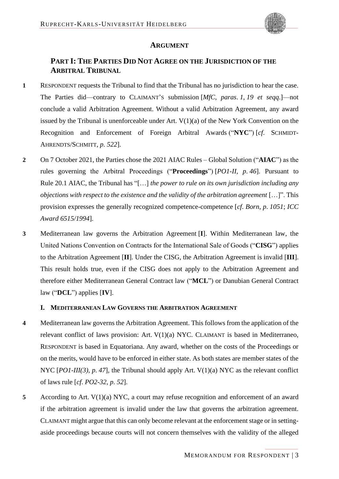<span id="page-38-5"></span><span id="page-38-4"></span>

#### <span id="page-38-3"></span>**ARGUMENT**

### <span id="page-38-1"></span><span id="page-38-0"></span>**PART I: THE PARTIES DID NOT AGREE ON THE JURISDICTION OF THE ARBITRAL TRIBUNAL**

- **1** RESPONDENT requests the Tribunal to find that the Tribunal has no jurisdiction to hear the case. The Parties did—contrary to CLAIMANT'S submission [*MfC*, *paras*. *1*, *19 et seqq*.]—not conclude a valid Arbitration Agreement. Without a valid Arbitration Agreement, any award issued by the Tribunal is unenforceable under Art. V(1)(a) of the New York Convention on the Recognition and Enforcement of Foreign Arbitral Awards ("**NYC**") [*cf*. SCHMIDT-AHRENDTS/SCHMITT, *p*. *522*].
- **2** On 7 October 2021, the Parties chose the 2021 AIAC Rules Global Solution ("**AIAC**") as the rules governing the Arbitral Proceedings ("**Proceedings**") [*PO1-II*, *p*. *46*]. Pursuant to Rule 20.1 AIAC, the Tribunal has "[…] *the power to rule on its own jurisdiction including any objections with respect to the existence and the validity of the arbitration agreement* […]". This provision expresses the generally recognized competence-competence [*cf*. *Born*, *p*. *1051*; *ICC Award 6515/1994*].
- **3** Mediterranean law governs the Arbitration Agreement [**I**]. Within Mediterranean law, the United Nations Convention on Contracts for the International Sale of Goods ("**CISG**") applies to the Arbitration Agreement [**II**]. Under the CISG, the Arbitration Agreement is invalid [**III**]. This result holds true, even if the CISG does not apply to the Arbitration Agreement and therefore either Mediterranean General Contract law ("**MCL**") or Danubian General Contract law ("**DCL**") applies [**IV**].

### <span id="page-38-2"></span>**I. MEDITERRANEAN LAW GOVERNS THE ARBITRATION AGREEMENT**

- **4** Mediterranean law governs the Arbitration Agreement. This follows from the application of the relevant conflict of laws provision: Art. V(1)(a) NYC. CLAIMANT is based in Mediterraneo, RESPONDENT is based in Equatoriana. Any award, whether on the costs of the Proceedings or on the merits, would have to be enforced in either state. As both states are member states of the NYC [*PO1-III*(3), *p.* 47], the Tribunal should apply Art. V(1)(a) NYC as the relevant conflict of laws rule [*cf*. *PO2-32*, *p*. *52*].
- **5** According to Art. V(1)(a) NYC, a court may refuse recognition and enforcement of an award if the arbitration agreement is invalid under the law that governs the arbitration agreement. CLAIMANT might argue that this can only become relevant at the enforcement stage or in settingaside proceedings because courts will not concern themselves with the validity of the alleged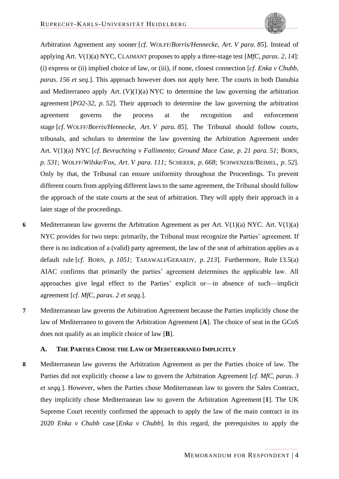<span id="page-39-9"></span><span id="page-39-7"></span><span id="page-39-4"></span><span id="page-39-1"></span>

<span id="page-39-6"></span>Arbitration Agreement any sooner [*cf*. WOLFF/*Borris/Hennecke*, *Art*. *V para. 85*]. Instead of applying Art. V(1)(a) NYC, CLAIMANT proposes to apply a three-stage test [*MfC*, *paras*. *2*, *14*]: (i) express or (ii) implied choice of law, or (iii), if none, closest connection [*cf*. *Enka v Chubb*, *paras*. *156 et seq*.]. This approach however does not apply here. The courts in both Danubia and Mediterraneo apply Art.  $(V)(1)(a) NYC$  to determine the law governing the arbitration agreement [*PO2-32*, *p*. *52*]. Their approach to determine the law governing the arbitration agreement governs the process at the recognition and enforcement stage [*cf*. WOLFF/*Borris/Hennecke*, *Art*. *V para. 85*]. The Tribunal should follow courts, tribunals, and scholars to determine the law governing the Arbitration Agreement under Art. V(1)(a) NYC [*cf*. *Bevrachting v Fallimento*; *Ground Mace Case*, *p*. *21 para. 51*; BORN, *p*. *531*; WOLFF/*Wilske/Fox*, *Art*. *V para. 111*; SCHERER, *p*. *668*; SCHWENZER/BEIMEL, *p*. *52*]. Only by that, the Tribunal can ensure uniformity throughout the Proceedings. To prevent different courts from applying different laws to the same agreement, the Tribunal should follow the approach of the state courts at the seat of arbitration. They will apply their approach in a later stage of the proceedings.

- <span id="page-39-8"></span><span id="page-39-5"></span><span id="page-39-3"></span><span id="page-39-2"></span>**6** Mediterranean law governs the Arbitration Agreement as per Art. V(1)(a) NYC. Art. V(1)(a) NYC provides for two steps: primarily, the Tribunal must recognize the Parties' agreement. If there is no indication of a (valid) party agreement, the law of the seat of arbitration applies as a default rule [*cf*. BORN, *p*. *1051*; TARAWALI/GERARDY, *p*. *213*]. Furthermore, Rule 13.5(a) AIAC confirms that primarily the parties' agreement determines the applicable law. All approaches give legal effect to the Parties' explicit or—in absence of such—implicit agreement [*cf*. *MfC*, *paras*. *2 et seqq*.].
- **7** Mediterranean law governs the Arbitration Agreement because the Parties implicitly chose the law of Mediterraneo to govern the Arbitration Agreement [**A**]. The choice of seat in the GCoS does not qualify as an implicit choice of law [**B**].

#### <span id="page-39-10"></span><span id="page-39-0"></span>**A. THE PARTIES CHOSE THE LAW OF MEDITERRANEO IMPLICITLY**

**8** Mediterranean law governs the Arbitration Agreement as per the Parties choice of law. The Parties did not explicitly choose a law to govern the Arbitration Agreement [*cf*. *MfC*, *paras*. *3 et seqq*.]. However, when the Parties chose Mediterranean law to govern the Sales Contract, they implicitly chose Mediterranean law to govern the Arbitration Agreement [**1**]. The UK Supreme Court recently confirmed the approach to apply the law of the main contract in its 2020 *Enka v Chubb* case [*Enka v Chubb*]. In this regard, the prerequisites to apply the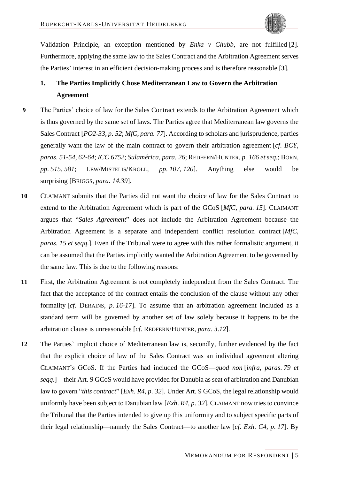<span id="page-40-7"></span><span id="page-40-5"></span><span id="page-40-1"></span>

Validation Principle, an exception mentioned by *Enka v Chubb*, are not fulfilled [**2**]. Furthermore, applying the same law to the Sales Contract and the Arbitration Agreement serves the Parties' interest in an efficient decision-making process and is therefore reasonable [**3**].

# <span id="page-40-0"></span>**1. The Parties Implicitly Chose Mediterranean Law to Govern the Arbitration Agreement**

- **9** The Parties' choice of law for the Sales Contract extends to the Arbitration Agreement which is thus governed by the same set of laws. The Parties agree that Mediterranean law governs the Sales Contract [*PO2-33*, *p*. *52*; *MfC*, *para. 77*]. According to scholars and jurisprudence, parties generally want the law of the main contract to govern their arbitration agreement [*cf*. *BCY*, *paras*. *51-54*, *62-64*; *ICC 6752*; *Sulamérica*, *para. 26*; REDFERN/HUNTER, *p*. *166 et seq*.; BORN, *pp*. *515*, *581*; LEW/MISTELIS/KRÖLL, *pp*. *107*, *120*]. Anything else would be surprising [BRIGGS, *para. 14*.*39*].
- <span id="page-40-8"></span><span id="page-40-4"></span><span id="page-40-2"></span>**10** CLAIMANT submits that the Parties did not want the choice of law for the Sales Contract to extend to the Arbitration Agreement which is part of the GCoS [*MfC*, *para. 15*]. CLAIMANT argues that "*Sales Agreement*" does not include the Arbitration Agreement because the Arbitration Agreement is a separate and independent conflict resolution contract [*MfC*, *paras*. *15 et seqq*.]. Even if the Tribunal were to agree with this rather formalistic argument, it can be assumed that the Parties implicitly wanted the Arbitration Agreement to be governed by the same law. This is due to the following reasons:
- <span id="page-40-3"></span>**11** First, the Arbitration Agreement is not completely independent from the Sales Contract. The fact that the acceptance of the contract entails the conclusion of the clause without any other formality [*cf*. DERAINS, *p*. *16-17*]. To assume that an arbitration agreement included as a standard term will be governed by another set of law solely because it happens to be the arbitration clause is unreasonable [*cf*. REDFERN/HUNTER, *para. 3*.*12*].
- <span id="page-40-6"></span>**12** The Parties' implicit choice of Mediterranean law is, secondly, further evidenced by the fact that the explicit choice of law of the Sales Contract was an individual agreement altering CLAIMANT's GCoS. If the Parties had included the GCoS—*quod non* [*infra*, *paras*. *[79](#page-61-6) et seqq*.]—their Art. 9 GCoS would have provided for Danubia as seat of arbitration and Danubian law to govern "*this contract*" [*Exh*. *R4*, *p*. *32*]. Under Art. 9 GCoS, the legal relationship would uniformly have been subject to Danubian law [*Exh*. *R4*, *p*. *32*]. CLAIMANT now tries to convince the Tribunal that the Parties intended to give up this uniformity and to subject specific parts of their legal relationship—namely the Sales Contract—to another law [*cf*. *Exh*. *C4*, *p*. *17*]. By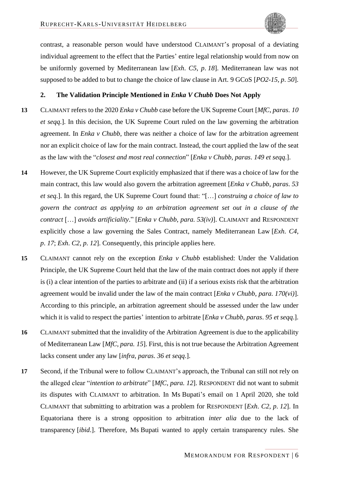<span id="page-41-2"></span><span id="page-41-1"></span>

contrast, a reasonable person would have understood CLAIMANT's proposal of a deviating individual agreement to the effect that the Parties' entire legal relationship would from now on be uniformly governed by Mediterranean law [*Exh*. *C5*, *p*. *18*]. Mediterranean law was not supposed to be added to but to change the choice of law clause in Art. 9 GCoS [*PO2-15*, *p*. *50*].

#### <span id="page-41-0"></span>**2. The Validation Principle Mentioned in** *Enka V Chubb* **Does Not Apply**

- **13** CLAIMANT refers to the 2020 *Enka v Chubb* case before the UK Supreme Court [*MfC*, *paras*. *10 et seqq*.]. In this decision, the UK Supreme Court ruled on the law governing the arbitration agreement. In *Enka v Chubb*, there was neither a choice of law for the arbitration agreement nor an explicit choice of law for the main contract. Instead, the court applied the law of the seat as the law with the "*closest and most real connection*" [*Enka v Chubb*, *paras*. *149 et seqq*.].
- **14** However, the UK Supreme Court explicitly emphasized that if there was a choice of law for the main contract, this law would also govern the arbitration agreement [*Enka v Chubb*, *paras*. *53 et seq*.]. In this regard, the UK Supreme Court found that: "[…] *construing a choice of law to govern the contract as applying to an arbitration agreement set out in a clause of the contract* […] *avoids artificiality*." [*Enka v Chubb*, *para. 53(iv)*]. CLAIMANT and RESPONDENT explicitly chose a law governing the Sales Contract, namely Mediterranean Law [*Exh*. *C4*, *p*. *17*; *Exh*. *C2*, *p*. *12*]. Consequently, this principle applies here.
- **15** CLAIMANT cannot rely on the exception *Enka v Chubb* established: Under the Validation Principle, the UK Supreme Court held that the law of the main contract does not apply if there is (i) a clear intention of the parties to arbitrate and (ii) if a serious exists risk that the arbitration agreement would be invalid under the law of the main contract [*Enka v Chubb*, *para. 170(vi)*]. According to this principle, an arbitration agreement should be assessed under the law under which it is valid to respect the parties' intention to arbitrate [*Enka v Chubb*, *paras*. *95 et seqq*.].
- <span id="page-41-3"></span>**16** CLAIMANT submitted that the invalidity of the Arbitration Agreement is due to the applicability of Mediterranean Law [*MfC*, *para. 15*]. First, this is not true because the Arbitration Agreement lacks consent under any law [*infra*, *paras*. *[36](#page-47-7) et seqq*.].
- **17** Second, if the Tribunal were to follow CLAIMANT's approach, the Tribunal can still not rely on the alleged clear "*intention to arbitrate*" [*MfC*, *para. 12*]. RESPONDENT did not want to submit its disputes with CLAIMANT to arbitration. In Ms Bupati's email on 1 April 2020, she told CLAIMANT that submitting to arbitration was a problem for RESPONDENT [*Exh*. *C2*, *p*. *12*]. In Equatoriana there is a strong opposition to arbitration *inter alia* due to the lack of transparency [*ibid*.]. Therefore, Ms Bupati wanted to apply certain transparency rules. She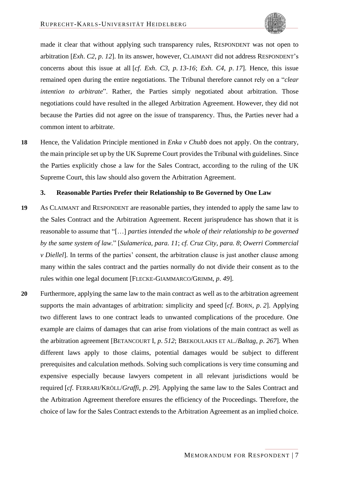

made it clear that without applying such transparency rules, RESPONDENT was not open to arbitration [*Exh*. *C2*, *p*. *12*]. In its answer, however, CLAIMANT did not address RESPONDENT's concerns about this issue at all [*cf*. *Exh*. *C3*, *p*. *13-16*; *Exh*. *C4*, *p*. *17*]. Hence, this issue remained open during the entire negotiations. The Tribunal therefore cannot rely on a "*clear intention to arbitrate*". Rather, the Parties simply negotiated about arbitration. Those negotiations could have resulted in the alleged Arbitration Agreement. However, they did not because the Parties did not agree on the issue of transparency. Thus, the Parties never had a common intent to arbitrate.

**18** Hence, the Validation Principle mentioned in *Enka v Chubb* does not apply. On the contrary, the main principle set up by the UK Supreme Court provides the Tribunal with guidelines. Since the Parties explicitly chose a law for the Sales Contract, according to the ruling of the UK Supreme Court, this law should also govern the Arbitration Agreement.

#### <span id="page-42-9"></span><span id="page-42-8"></span><span id="page-42-7"></span><span id="page-42-6"></span><span id="page-42-0"></span>**3. Reasonable Parties Prefer their Relationship to Be Governed by One Law**

- **19** As CLAIMANT and RESPONDENT are reasonable parties, they intended to apply the same law to the Sales Contract and the Arbitration Agreement. Recent jurisprudence has shown that it is reasonable to assume that "[…] *parties intended the whole of their relationship to be governed by the same system of law.*" [*Sulamerica*, *para. 11*; *cf. Cruz City*, *para. 8*; *Owerri Commercial v Diellel*]. In terms of the parties' consent, the arbitration clause is just another clause among many within the sales contract and the parties normally do not divide their consent as to the rules within one legal document [FLECKE-GIAMMARCO/GRIMM, *p*. *49*].
- <span id="page-42-5"></span><span id="page-42-4"></span><span id="page-42-3"></span><span id="page-42-2"></span><span id="page-42-1"></span>**20** Furthermore, applying the same law to the main contract as well as to the arbitration agreement supports the main advantages of arbitration: simplicity and speed [*cf*. BORN, *p*. *2*]. Applying two different laws to one contract leads to unwanted complications of the procedure. One example are claims of damages that can arise from violations of the main contract as well as the arbitration agreement [BETANCOURT I, *p*. *512*; BREKOULAKIS ET AL./*Baltag*, *p*. *267*]. When different laws apply to those claims, potential damages would be subject to different prerequisites and calculation methods. Solving such complications is very time consuming and expensive especially because lawyers competent in all relevant jurisdictions would be required [*cf*. FERRARI/KRÖLL/*Graffi*, *p*. *29*]. Applying the same law to the Sales Contract and the Arbitration Agreement therefore ensures the efficiency of the Proceedings. Therefore, the choice of law for the Sales Contract extends to the Arbitration Agreement as an implied choice.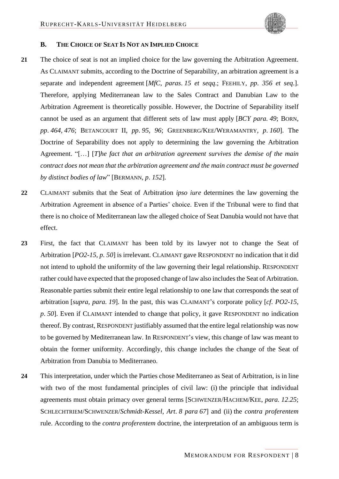<span id="page-43-8"></span><span id="page-43-5"></span><span id="page-43-4"></span><span id="page-43-3"></span>

### <span id="page-43-0"></span>**B. THE CHOICE OF SEAT IS NOT AN IMPLIED CHOICE**

- **21** The choice of seat is not an implied choice for the law governing the Arbitration Agreement. As CLAIMANT submits, according to the Doctrine of Separability, an arbitration agreement is a separate and independent agreement [*MfC*, *paras*. *15 et seqq*.; FEEHILY, *pp*. *356 et seq*.]. Therefore, applying Mediterranean law to the Sales Contract and Danubian Law to the Arbitration Agreement is theoretically possible. However, the Doctrine of Separability itself cannot be used as an argument that different sets of law must apply [*BCY para. 49*; BORN, *pp*. *464*, *476*; BETANCOURT II, *pp*. *95*, *96*; GREENBERG/KEE/WERAMANTRY, *p*. *160*]. The Doctrine of Separability does not apply to determining the law governing the Arbitration Agreement. "[…] [*T*]*he fact that an arbitration agreement survives the demise of the main contract does not mean that the arbitration agreement and the main contract must be governed by distinct bodies of law*" [BERMANN, *p*. *152*].
- <span id="page-43-2"></span><span id="page-43-1"></span>**22** CLAIMANT submits that the Seat of Arbitration *ipso iure* determines the law governing the Arbitration Agreement in absence of a Parties' choice. Even if the Tribunal were to find that there is no choice of Mediterranean law the alleged choice of Seat Danubia would not have that effect.
- **23** First, the fact that CLAIMANT has been told by its lawyer not to change the Seat of Arbitration [*PO2-15*, *p*. *50*] is irrelevant. CLAIMANT gave RESPONDENT no indication that it did not intend to uphold the uniformity of the law governing their legal relationship. RESPONDENT rather could have expected that the proposed change of law also includes the Seat of Arbitration. Reasonable parties submit their entire legal relationship to one law that corresponds the seat of arbitration [*supra*, *para. [19](#page-42-9)*]. In the past, this was CLAIMANT's corporate policy [*cf*. *PO2-15*, *p*. *50*]. Even if CLAIMANT intended to change that policy, it gave RESPONDENT no indication thereof. By contrast, RESPONDENT justifiably assumed that the entire legal relationship was now to be governed by Mediterranean law. In RESPONDENT's view, this change of law was meant to obtain the former uniformity. Accordingly, this change includes the change of the Seat of Arbitration from Danubia to Mediterraneo.
- <span id="page-43-7"></span><span id="page-43-6"></span>**24** This interpretation, under which the Parties chose Mediterraneo as Seat of Arbitration, is in line with two of the most fundamental principles of civil law: (i) the principle that individual agreements must obtain primacy over general terms [SCHWENZER/HACHEM/KEE, *para. 12*.*25*; SCHLECHTRIEM/SCHWENZER/*Schmidt-Kessel*, *Art*. *8 para 67*] and (ii) the *contra proferentem* rule. According to the *contra proferentem* doctrine, the interpretation of an ambiguous term is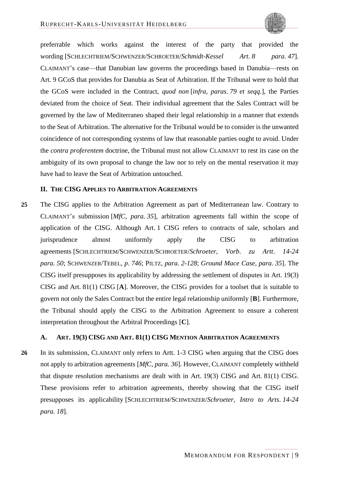

<span id="page-44-4"></span>preferrable which works against the interest of the party that provided the wording [SCHLECHTRIEM/SCHWENZER/SCHROETER/*Schmidt-Kessel Art*. *8 para. 47*]. CLAIMANT's case—that Danubian law governs the proceedings based in Danubia—rests on Art. 9 GCoS that provides for Danubia as Seat of Arbitration. If the Tribunal were to hold that the GCoS were included in the Contract, *quod non* [*infra*, *paras*. *[79](#page-61-6) et seqq*.], the Parties deviated from the choice of Seat. Their individual agreement that the Sales Contract will be governed by the law of Mediterraneo shaped their legal relationship in a manner that extends to the Seat of Arbitration. The alternative for the Tribunal would be to consider is the unwanted coincidence of not corresponding systems of law that reasonable parties ought to avoid. Under the *contra proferentem* doctrine, the Tribunal must not allow CLAIMANT to rest its case on the ambiguity of its own proposal to change the law nor to rely on the mental reservation it may have had to leave the Seat of Arbitration untouched.

#### <span id="page-44-7"></span><span id="page-44-5"></span><span id="page-44-2"></span><span id="page-44-0"></span>**II. THE CISG APPLIES TO ARBITRATION AGREEMENTS**

<span id="page-44-6"></span>**25** The CISG applies to the Arbitration Agreement as part of Mediterranean law. Contrary to CLAIMANT's submission [*MfC*, *para. 35*], arbitration agreements fall within the scope of application of the CISG. Although Art. 1 CISG refers to contracts of sale, scholars and jurisprudence almost uniformly apply the CISG to arbitration agreements [SCHLECHTRIEM/SCHWENZER/SCHROETER/*Schroeter*, *Vorb*. *zu Artt*. *14-24 para. 50*; SCHWENZER/TEBEL, *p*. *746*; PILTZ, *para. 2-128*; *Ground Mace Case*, *para. 35*]. The CISG itself presupposes its applicability by addressing the settlement of disputes in Art. 19(3) CISG and Art. 81(1) CISG [**A**]. Moreover, the CISG provides for a toolset that is suitable to govern not only the Sales Contract but the entire legal relationship uniformly [**B**]. Furthermore, the Tribunal should apply the CISG to the Arbitration Agreement to ensure a coherent interpretation throughout the Arbitral Proceedings [**C**].

### <span id="page-44-3"></span><span id="page-44-1"></span>**A. ART. 19(3) CISG AND ART. 81(1) CISG MENTION ARBITRATION AGREEMENTS**

**26** In its submission, CLAIMANT only refers to Artt. 1-3 CISG when arguing that the CISG does not apply to arbitration agreements [*MfC*, *para. 36*]. However, CLAIMANT completely withheld that dispute resolution mechanisms are dealt with in Art. 19(3) CISG and Art. 81(1) CISG. These provisions refer to arbitration agreements, thereby showing that the CISG itself presupposes its applicability [SCHLECHTRIEM/SCHWENZER/*Schroeter*, *Intro to Arts*. *14-24 para. 18*].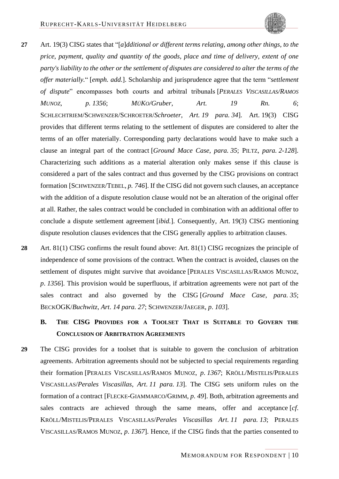- <span id="page-45-8"></span><span id="page-45-5"></span>
- <span id="page-45-9"></span><span id="page-45-4"></span>**27** Art. 19(3) CISG states that "[*a*]*dditional or different terms relating*, *among other things*, *to the price*, *payment*, *quality and quantity of the goods*, *place and time of delivery*, *extent of one party's liability to the other or the settlement of disputes are considered to alter the terms of the offer materially.*" [*emph. add.*]. Scholarship and jurisprudence agree that the term "*settlement of dispute*" encompasses both courts and arbitral tribunals [*PERALES VISCASILLAS/RAMOS MUNOZ, p. 1356*; *MÜKO/Gruber*, *Art. 19 Rn. 6*; SCHLECHTRIEM/SCHWENZER/SCHROETER/*Schroeter*, *Art. 19 para. 34*]. Art. 19(3) CISG provides that different terms relating to the settlement of disputes are considered to alter the terms of an offer materially. Corresponding party declarations would have to make such a clause an integral part of the contract [*Ground Mace Case*, *para. 35*; PILTZ, *para. 2-128*]. Characterizing such additions as a material alteration only makes sense if this clause is considered a part of the sales contract and thus governed by the CISG provisions on contract formation [SCHWENZER/TEBEL, *p. 746*]. If the CISG did not govern such clauses, an acceptance with the addition of a dispute resolution clause would not be an alteration of the original offer at all. Rather, the sales contract would be concluded in combination with an additional offer to conclude a dispute settlement agreement [*ibid.*]. Consequently, Art. 19(3) CISG mentioning dispute resolution clauses evidences that the CISG generally applies to arbitration clauses.
- <span id="page-45-13"></span><span id="page-45-12"></span><span id="page-45-11"></span><span id="page-45-6"></span>**28** Art. 81(1) CISG confirms the result found above: Art. 81(1) CISG recognizes the principle of independence of some provisions of the contract. When the contract is avoided, clauses on the settlement of disputes might survive that avoidance [PERALES VISCASILLAS/RAMOS MUNOZ, *p*. *1356*]. This provision would be superfluous, if arbitration agreements were not part of the sales contract and also governed by the CISG [*Ground Mace Case*, *para. 35*; BECKOGK/*Buchwitz*, *Art*. *14 para. 27*; SCHWENZER/JAEGER, *p*. *103*].
	- **B. THE CISG PROVIDES FOR A TOOLSET THAT IS SUITABLE TO GOVERN THE CONCLUSION OF ARBITRATION AGREEMENTS**
- <span id="page-45-10"></span><span id="page-45-7"></span><span id="page-45-3"></span><span id="page-45-2"></span><span id="page-45-1"></span><span id="page-45-0"></span>**29** The CISG provides for a toolset that is suitable to govern the conclusion of arbitration agreements. Arbitration agreements should not be subjected to special requirements regarding their formation [PERALES VISCASILLAS/RAMOS MUNOZ, *p*. *1367*; KRÖLL/MISTELIS/PERALES VISCASILLAS/*Perales Viscasillas*, *Art*. *11 para. 13*]. The CISG sets uniform rules on the formation of a contract [FLECKE-GIAMMARCO/GRIMM, *p*. *49*]. Both, arbitration agreements and sales contracts are achieved through the same means, offer and acceptance [*cf*. KRÖLL/MISTELIS/PERALES VISCASILLAS/*Perales Viscasillas Art*. *11 para. 13*; PERALES VISCASILLAS/RAMOS MUNOZ, *p*. *1367*]. Hence, if the CISG finds that the parties consented to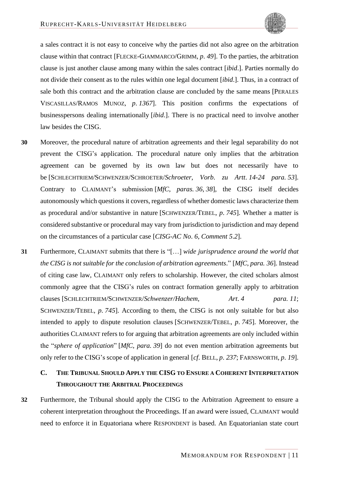

a sales contract it is not easy to conceive why the parties did not also agree on the arbitration clause within that contract [FLECKE-GIAMMARCO/GRIMM, *p*. *49*]. To the parties, the arbitration clause is just another clause among many within the sales contract [*ibid*.]. Parties normally do not divide their consent as to the rules within one legal document [*ibid*.]. Thus, in a contract of sale both this contract and the arbitration clause are concluded by the same means [PERALES VISCASILLAS/RAMOS MUNOZ, *p*. *1367*]. This position confirms the expectations of businesspersons dealing internationally [*ibid*.]. There is no practical need to involve another law besides the CISG.

- <span id="page-46-4"></span>**30** Moreover, the procedural nature of arbitration agreements and their legal separability do not prevent the CISG's application. The procedural nature only implies that the arbitration agreement can be governed by its own law but does not necessarily have to be [SCHLECHTRIEM/SCHWENZER/SCHROETER/*Schroeter*, *Vorb*. *zu Artt*. *14-24 para. 53*]. Contrary to CLAIMANT's submission [*MfC*, *paras. 36*, *38*], the CISG itself decides autonomously which questions it covers, regardless of whether domestic laws characterize them as procedural and/or substantive in nature [SCHWENZER/TEBEL, *p*. *745*]. Whether a matter is considered substantive or procedural may vary from jurisdiction to jurisdiction and may depend on the circumstances of a particular case [*CISG-AC No*. *6*, *Comment 5*.*2*].
- <span id="page-46-7"></span><span id="page-46-6"></span><span id="page-46-5"></span><span id="page-46-3"></span>**31** Furthermore, CLAIMANT submits that there is "[…] *wide jurisprudence around the world that the CISG is not suitable for the conclusion of arbitration agreements*." [*MfC*, *para. 36*]. Instead of citing case law, CLAIMANT only refers to scholarship. However, the cited scholars almost commonly agree that the CISG's rules on contract formation generally apply to arbitration clauses [SCHLECHTRIEM/SCHWENZER/*Schwenzer/Hachem*, *Art*. *4 para. 11*; SCHWENZER/TEBEL, *p*. *745*]. According to them, the CISG is not only suitable for but also intended to apply to dispute resolution clauses [SCHWENZER/TEBEL, *p*. *745*]. Moreover, the authorities CLAIMANT refers to for arguing that arbitration agreements are only included within the "*sphere of application*" [*MfC*, *para. 39*] do not even mention arbitration agreements but only refer to the CISG's scope of application in general [*cf*. BELL, *p*. *237*; FARNSWORTH, *p*. *19*].

# <span id="page-46-2"></span><span id="page-46-1"></span><span id="page-46-0"></span>**C. THE TRIBUNAL SHOULD APPLY THE CISG TO ENSURE A COHERENT INTERPRETATION THROUGHOUT THE ARBITRAL PROCEEDINGS**

**32** Furthermore, the Tribunal should apply the CISG to the Arbitration Agreement to ensure a coherent interpretation throughout the Proceedings. If an award were issued, CLAIMANT would need to enforce it in Equatoriana where RESPONDENT is based. An Equatorianian state court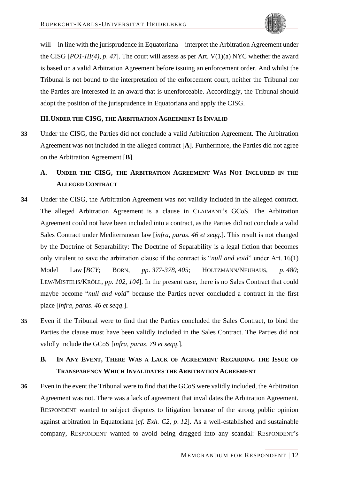will—in line with the jurisprudence in Equatoriana—interpret the Arbitration Agreement under the CISG [*PO1-III(4)*, *p*. *47*]. The court will assess as per Art. V(1)(a) NYC whether the award is based on a valid Arbitration Agreement before issuing an enforcement order. And whilst the Tribunal is not bound to the interpretation of the enforcement court, neither the Tribunal nor the Parties are interested in an award that is unenforceable. Accordingly, the Tribunal should adopt the position of the jurisprudence in Equatoriana and apply the CISG.

#### <span id="page-47-0"></span>**III.UNDER THE CISG, THE ARBITRATION AGREEMENT IS INVALID**

**33** Under the CISG, the Parties did not conclude a valid Arbitration Agreement. The Arbitration Agreement was not included in the alleged contract [**A**]. Furthermore, the Parties did not agree on the Arbitration Agreement [**B**].

# <span id="page-47-1"></span>**A. UNDER THE CISG, THE ARBITRATION AGREEMENT WAS NOT INCLUDED IN THE ALLEGED CONTRACT**

- <span id="page-47-8"></span>**34** Under the CISG, the Arbitration Agreement was not validly included in the alleged contract. The alleged Arbitration Agreement is a clause in CLAIMANT's GCoS. The Arbitration Agreement could not have been included into a contract, as the Parties did not conclude a valid Sales Contract under Mediterranean law [*infra*, *paras*. *[46](#page-51-6) et seqq*.]. This result is not changed by the Doctrine of Separability: The Doctrine of Separability is a legal fiction that becomes only virulent to save the arbitration clause if the contract is "*null and void*" under Art. 16(1) Model Law [*BCY*; BORN, *pp*. *377-378*, *405*; HOLTZMANN/NEUHAUS, *p*. *480*; LEW/MISTELIS/KRÖLL, *pp*. *102*, *104*]. In the present case, there is no Sales Contract that could maybe become "*null and void*" because the Parties never concluded a contract in the first place [*infra*, *paras*. *[46](#page-51-6) et seqq*.].
- <span id="page-47-6"></span><span id="page-47-5"></span><span id="page-47-3"></span>**35** Even if the Tribunal were to find that the Parties concluded the Sales Contract, to bind the Parties the clause must have been validly included in the Sales Contract. The Parties did not validly include the GCoS [*infra*, *paras*. *[79](#page-61-6) et seqq*.].

# <span id="page-47-4"></span><span id="page-47-2"></span>**B. IN ANY EVENT, THERE WAS A LACK OF AGREEMENT REGARDING THE ISSUE OF TRANSPARENCY WHICH INVALIDATES THE ARBITRATION AGREEMENT**

<span id="page-47-7"></span>**36** Even in the event the Tribunal were to find that the GCoS were validly included, the Arbitration Agreement was not. There was a lack of agreement that invalidates the Arbitration Agreement. RESPONDENT wanted to subject disputes to litigation because of the strong public opinion against arbitration in Equatoriana [*cf*. *Exh*. *C2*, *p*. *12*]. As a well-established and sustainable company, RESPONDENT wanted to avoid being dragged into any scandal: RESPONDENT's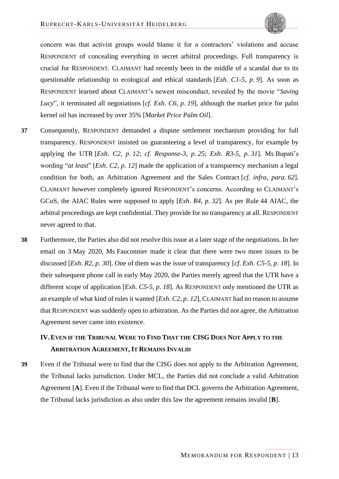

concern was that activist groups would blame it for a contractors' violations and accuse RESPONDENT of concealing everything in secret arbitral proceedings. Full transparency is crucial for RESPONDENT. CLAIMANT had recently been in the middle of a scandal due to its questionable relationship to ecological and ethical standards [*Exh*. *C1-5*, *p*. *9*]. As soon as RESPONDENT learned about CLAIMANT's newest misconduct, revealed by the movie "*Saving Lucy*", it terminated all negotiations [*cf*. *Exh*. *C6*, *p*. *19*], although the market price for palm kernel oil has increased by over 35% [*Market Price Palm Oil*].

- <span id="page-48-1"></span>**37** Consequently, RESPONDENT demanded a dispute settlement mechanism providing for full transparency. RESPONDENT insisted on guaranteeing a level of transparency, for example by applying the UTR [*Exh*. *C2*, *p*. *12*; *cf*. *Response-3*, *p*. *25*; *Exh*. *R3-5*, *p*. *31*]. Ms Bupati's wording "*at least*" [*Exh*. *C2*, *p*. *12*] made the application of a transparency mechanism a legal condition for both, an Arbitration Agreement and the Sales Contract [*cf*. *infra*, *para. [62](#page-55-4)*]. CLAIMANT however completely ignored RESPONDENT's concerns. According to CLAIMANT's GCoS, the AIAC Rules were supposed to apply [*Exh*. *R4*, *p*. *32*]. As per Rule 44 AIAC, the arbitral proceedings are kept confidential. They provide for no transparency at all. RESPONDENT never agreed to that.
- **38** Furthermore, the Parties also did not resolve this issue at a later stage of the negotiations. In her email on 3 May 2020, Ms Fauconnier made it clear that there were two more issues to be discussed [*Exh*. *R2*, *p*. *30*]. One of them was the issue of transparency [*cf*. *Exh*. *C5-5*, *p*. *18*]. In their subsequent phone call in early May 2020, the Parties merely agreed that the UTR have a different scope of application [*Exh*. *C5-5*, *p*. *18*]. As RESPONDENT only mentioned the UTR as an example of what kind of rules it wanted [*Exh*. *C2*, *p*. *12*], CLAIMANT had no reason to assume that RESPONDENT was suddenly open to arbitration. As the Parties did not agree, the Arbitration Agreement never came into existence.

# <span id="page-48-0"></span>**IV.EVEN IF THE TRIBUNAL WERE TO FIND THAT THE CISG DOES NOT APPLY TO THE ARBITRATION AGREEMENT, IT REMAINS INVALID**

**39** Even if the Tribunal were to find that the CISG does not apply to the Arbitration Agreement, the Tribunal lacks jurisdiction. Under MCL, the Parties did not conclude a valid Arbitration Agreement [**A**]. Even if the Tribunal were to find that DCL governs the Arbitration Agreement, the Tribunal lacks jurisdiction as also under this law the agreement remains invalid [**B**].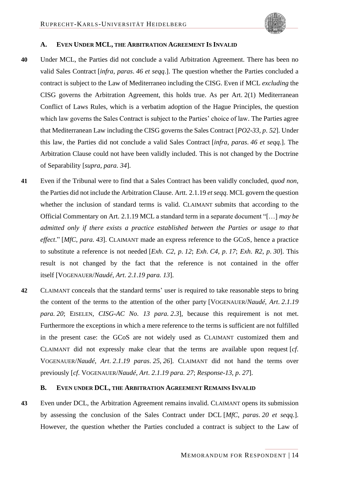

#### <span id="page-49-5"></span><span id="page-49-0"></span>**A. EVEN UNDER MCL, THE ARBITRATION AGREEMENT IS INVALID**

- **40** Under MCL, the Parties did not conclude a valid Arbitration Agreement. There has been no valid Sales Contract [*infra*, *paras*. *[46](#page-51-6) et seqq*.]. The question whether the Parties concluded a contract is subject to the Law of Mediterraneo including the CISG. Even if MCL *excluding* the CISG governs the Arbitration Agreement, this holds true. As per Art. 2(1) Mediterranean Conflict of Laws Rules, which is a verbatim adoption of the Hague Principles, the question which law governs the Sales Contract is subject to the Parties' choice of law. The Parties agree that Mediterranean Law including the CISG governs the Sales Contract [*PO2-33*, *p*. *52*]. Under this law, the Parties did not conclude a valid Sales Contract [*infra*, *paras*. *[46](#page-51-6) et seqq*.]. The Arbitration Clause could not have been validly included. This is not changed by the Doctrine of Separability [*supra*, *para. [34](#page-47-8)*].
- **41** Even if the Tribunal were to find that a Sales Contract has been validly concluded, *quod non*, the Parties did not include the Arbitration Clause. Artt. 2.1.19 *et seqq*. MCL govern the question whether the inclusion of standard terms is valid. CLAIMANT submits that according to the Official Commentary on Art. 2.1.19 MCL a standard term in a separate document "[…] *may be admitted only if there exists a practice established between the Parties or usage to that effect*." [*MfC*, *para. 43*]. CLAIMANT made an express reference to the GCoS, hence a practice to substitute a reference is not needed [*Exh*. *C2*, *p*. *12*; *Exh*. *C4*, *p*. *17*; *Exh*. *R2*, *p*. *30*]. This result is not changed by the fact that the reference is not contained in the offer itself [VOGENAUER/*Naudé*, *Art*. *2*.*1*.*19 para. 13*].
- <span id="page-49-4"></span><span id="page-49-3"></span><span id="page-49-2"></span>**42** CLAIMANT conceals that the standard terms' user is required to take reasonable steps to bring the content of the terms to the attention of the other party [VOGENAUER/*Naudé*, *Art*. *2*.*1*.*19 para. 20*; EISELEN, *CISG-AC No*. *13 para. 2*.*3*], because this requirement is not met. Furthermore the exceptions in which a mere reference to the terms is sufficient are not fulfilled in the present case: the GCoS are not widely used as CLAIMANT customized them and CLAIMANT did not expressly make clear that the terms are available upon request [*cf*. VOGENAUER/*Naudé*, *Art*. *2*.*1*.*19 paras*. *25*, *26*]. CLAIMANT did not hand the terms over previously [*cf*. VOGENAUER/*Naudé*, *Art*. *2*.*1*.*19 para. 27*; *Response-13*, *p*. *27*].

### <span id="page-49-1"></span>**B. EVEN UNDER DCL, THE ARBITRATION AGREEMENT REMAINS INVALID**

**43** Even under DCL, the Arbitration Agreement remains invalid. CLAIMANT opens its submission by assessing the conclusion of the Sales Contract under DCL [*MfC*, *paras*. *20 et seqq*.]. However, the question whether the Parties concluded a contract is subject to the Law of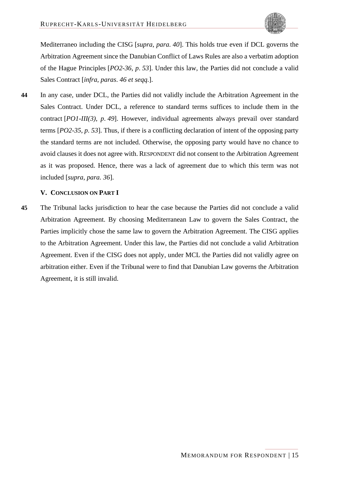Mediterraneo including the CISG [*supra*, *para. [40](#page-49-5)*]. This holds true even if DCL governs the Arbitration Agreement since the Danubian Conflict of Laws Rules are also a verbatim adoption of the Hague Principles [*PO2-36*, *p*. *53*]. Under this law, the Parties did not conclude a valid Sales Contract [*infra*, *paras*. *[46](#page-51-6) et seqq*.].

**44** In any case, under DCL, the Parties did not validly include the Arbitration Agreement in the Sales Contract. Under DCL, a reference to standard terms suffices to include them in the contract [*PO1-III(3)*, *p*. *49*]. However, individual agreements always prevail over standard terms [*PO2-35*, *p*. *53*]. Thus, if there is a conflicting declaration of intent of the opposing party the standard terms are not included. Otherwise, the opposing party would have no chance to avoid clauses it does not agree with. RESPONDENT did not consent to the Arbitration Agreement as it was proposed. Hence, there was a lack of agreement due to which this term was not included [*supra*, *para. [36](#page-47-7)*].

### <span id="page-50-0"></span>**V. CONCLUSION ON PART I**

**45** The Tribunal lacks jurisdiction to hear the case because the Parties did not conclude a valid Arbitration Agreement. By choosing Mediterranean Law to govern the Sales Contract, the Parties implicitly chose the same law to govern the Arbitration Agreement. The CISG applies to the Arbitration Agreement. Under this law, the Parties did not conclude a valid Arbitration Agreement. Even if the CISG does not apply, under MCL the Parties did not validly agree on arbitration either. Even if the Tribunal were to find that Danubian Law governs the Arbitration Agreement, it is still invalid.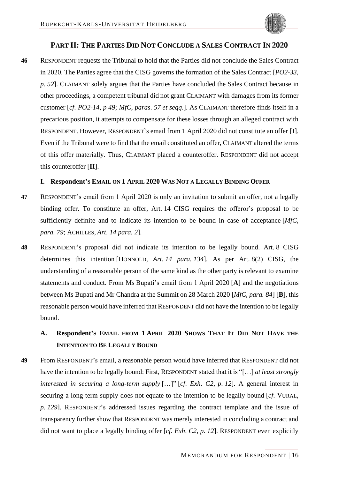## <span id="page-51-0"></span>**PART II: THE PARTIES DID NOT CONCLUDE A SALES CONTRACT IN 2020**

<span id="page-51-6"></span>**46** RESPONDENT requests the Tribunal to hold that the Parties did not conclude the Sales Contract in 2020. The Parties agree that the CISG governs the formation of the Sales Contract [*PO2-33*, *p*. *52*]. CLAIMANT solely argues that the Parties have concluded the Sales Contract because in other proceedings, a competent tribunal did not grant CLAIMANT with damages from its former customer [*cf*. *PO2-14*, *p 49*; *MfC*, *paras*. *57 et seqq*.]. As CLAIMANT therefore finds itself in a precarious position, it attempts to compensate for these losses through an alleged contract with RESPONDENT. However, RESPONDENT`s email from 1 April 2020 did not constitute an offer [**I**]. Even if the Tribunal were to find that the email constituted an offer, CLAIMANT altered the terms of this offer materially. Thus, CLAIMANT placed a counteroffer. RESPONDENT did not accept this counteroffer [**II**].

### <span id="page-51-1"></span>**I. Respondent'S EMAIL ON 1 APRIL 2020 WAS NOT A LEGALLY BINDING OFFER**

- **47** RESPONDENT's email from 1 April 2020 is only an invitation to submit an offer, not a legally binding offer. To constitute an offer, Art. 14 CISG requires the offeror's proposal to be sufficiently definite and to indicate its intention to be bound in case of acceptance [*MfC*, *para. 79*; ACHILLES, *Art*. *14 para. 2*].
- <span id="page-51-4"></span><span id="page-51-3"></span>**48** RESPONDENT's proposal did not indicate its intention to be legally bound. Art. 8 CISG determines this intention [HONNOLD, *Art*. *14 para. 134*]. As per Art. 8(2) CISG, the understanding of a reasonable person of the same kind as the other party is relevant to examine statements and conduct. From Ms Bupati's email from 1 April 2020 [**A**] and the negotiations between Ms Bupati and Mr Chandra at the Summit on 28 March 2020 [*MfC*, *para. 84*] [**B**], this reasonable person would have inferred that RESPONDENT did not have the intention to be legally bound.

# <span id="page-51-5"></span><span id="page-51-2"></span>**A. Respondent'S EMAIL FROM 1 APRIL 2020 SHOWS THAT IT DID NOT HAVE THE INTENTION TO BE LEGALLY BOUND**

**49** From RESPONDENT's email, a reasonable person would have inferred that RESPONDENT did not have the intention to be legally bound: First, RESPONDENT stated that it is "[…] *at least strongly interested in securing a long-term supply* […]" [*cf*. *Exh*. *C2*, *p*. *12*]. A general interest in securing a long-term supply does not equate to the intention to be legally bound [*cf*. VURAL, *p*. *129*]. RESPONDENT's addressed issues regarding the contract template and the issue of transparency further show that RESPONDENT was merely interested in concluding a contract and did not want to place a legally binding offer [*cf*. *Exh*. *C2*, *p*. *12*]. RESPONDENT even explicitly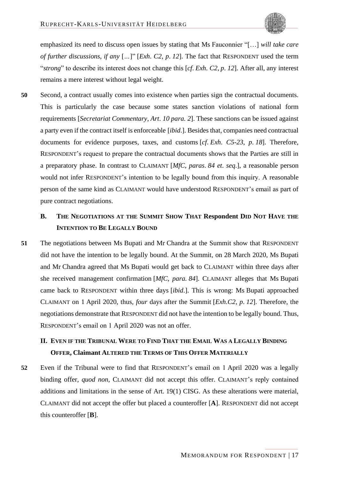

emphasized its need to discuss open issues by stating that Ms Fauconnier "[…] *will take care of further discussions*, *if any* [*…*]" [*Exh*. *C2*, *p*. *12*]. The fact that RESPONDENT used the term "*strong*" to describe its interest does not change this [*cf*. *Exh*. *C2*, *p*. *12*]. After all, any interest remains a mere interest without legal weight.

<span id="page-52-2"></span>**50** Second, a contract usually comes into existence when parties sign the contractual documents. This is particularly the case because some states sanction violations of national form requirements [*Secretariat Commentary*, *Art*. *10 para. 2*]. These sanctions can be issued against a party even if the contract itself is enforceable [*ibid*.]. Besides that, companies need contractual documents for evidence purposes, taxes, and customs [*cf*. *Exh*. *C5-23*, *p*. *18*]. Therefore, RESPONDENT's request to prepare the contractual documents shows that the Parties are still in a preparatory phase. In contrast to CLAIMANT [*MfC*, *paras*. *84 et*. *seq*.], a reasonable person would not infer RESPONDENT's intention to be legally bound from this inquiry. A reasonable person of the same kind as CLAIMANT would have understood RESPONDENT's email as part of pure contract negotiations.

# <span id="page-52-0"></span>**B. THE NEGOTIATIONS AT THE SUMMIT SHOW THAT Respondent DID NOT HAVE THE INTENTION TO BE LEGALLY BOUND**

**51** The negotiations between Ms Bupati and Mr Chandra at the Summit show that RESPONDENT did not have the intention to be legally bound. At the Summit, on 28 March 2020, Ms Bupati and Mr Chandra agreed that Ms Bupati would get back to CLAIMANT within three days after she received management confirmation [*MfC*, *para. 84*]. CLAIMANT alleges that Ms Bupati came back to RESPONDENT within three days [*ibid*.]. This is wrong: Ms Bupati approached CLAIMANT on 1 April 2020, thus, *four* days after the Summit [*Exh*.*C2*, *p*. *12*]. Therefore, the negotiations demonstrate that RESPONDENT did not have the intention to be legally bound. Thus, RESPONDENT's email on 1 April 2020 was not an offer.

# <span id="page-52-1"></span>**II. EVEN IF THE TRIBUNAL WERE TO FIND THAT THE EMAIL WAS A LEGALLY BINDING OFFER, Claimant ALTERED THE TERMS OF THIS OFFER MATERIALLY**

**52** Even if the Tribunal were to find that RESPONDENT's email on 1 April 2020 was a legally binding offer, *quod non*, CLAIMANT did not accept this offer. CLAIMANT's reply contained additions and limitations in the sense of Art. 19(1) CISG. As these alterations were material, CLAIMANT did not accept the offer but placed a counteroffer [**A**]. RESPONDENT did not accept this counteroffer [**B**].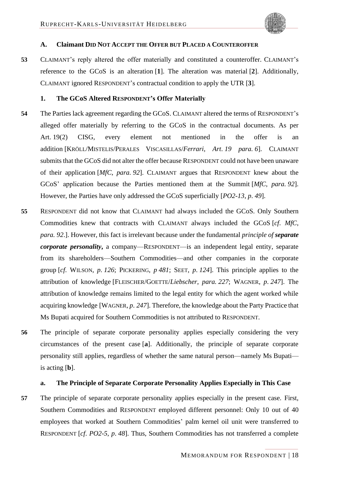

#### <span id="page-53-0"></span>**A. Claimant DID NOT ACCEPT THE OFFER BUT PLACED A COUNTEROFFER**

**53** CLAIMANT's reply altered the offer materially and constituted a counteroffer. CLAIMANT's reference to the GCoS is an alteration [**1**]. The alteration was material [**2**]. Additionally, CLAIMANT ignored RESPONDENT's contractual condition to apply the UTR [**3**].

#### <span id="page-53-4"></span><span id="page-53-1"></span>**1. The GCoS Altered RESPONDENT's Offer Materially**

- **54** The Parties lack agreement regarding the GCoS. CLAIMANT altered the terms of RESPONDENT's alleged offer materially by referring to the GCoS in the contractual documents. As per Art. 19(2) CISG, every element not mentioned in the offer is an addition [KRÖLL/MISTELIS/PERALES VISCASILLAS/*Ferrari*, *Art*. *19 para. 6*]. CLAIMANT submits that the GCoS did not alter the offer because RESPONDENT could not have been unaware of their application [*MfC*, *para. 92*]. CLAIMANT argues that RESPONDENT knew about the GCoS' application because the Parties mentioned them at the Summit [*MfC*, *para. 92*]. However, the Parties have only addressed the GCoS superficially [*PO2-13*, *p*. *49*].
- <span id="page-53-9"></span><span id="page-53-8"></span><span id="page-53-6"></span><span id="page-53-5"></span>**55** RESPONDENT did not know that CLAIMANT had always included the GCoS. Only Southern Commodities knew that contracts with CLAIMANT always included the GCoS [*cf*. *MfC*, *para. 92*.]. However, this fact is irrelevant because under the fundamental *principle of separate corporate personality***,** a company—RESPONDENT—is an independent legal entity, separate from its shareholders—Southern Commodities—and other companies in the corporate group [*cf*. WILSON, *p*. *126*; PICKERING, *p 481*; SEET, *p*. *124*]. This principle applies to the attribution of knowledge [FLEISCHER/GOETTE/*Liebscher*, *para. 227*; WAGNER, *p*. *247*]. The attribution of knowledge remains limited to the legal entity for which the agent worked while acquiring knowledge [WAGNER, *p*. *247*]. Therefore, the knowledge about the Party Practice that Ms Bupati acquired for Southern Commodities is not attributed to RESPONDENT.
- <span id="page-53-7"></span><span id="page-53-3"></span>**56** The principle of separate corporate personality applies especially considering the very circumstances of the present case [**a**]. Additionally, the principle of separate corporate personality still applies, regardless of whether the same natural person—namely Ms Bupati is acting [**b**].

#### <span id="page-53-10"></span><span id="page-53-2"></span>**a. The Principle of Separate Corporate Personality Applies Especially in This Case**

**57** The principle of separate corporate personality applies especially in the present case. First, Southern Commodities and RESPONDENT employed different personnel: Only 10 out of 40 employees that worked at Southern Commodities' palm kernel oil unit were transferred to RESPONDENT [*cf*. *PO2-5*, *p*. *48*]. Thus, Southern Commodities has not transferred a complete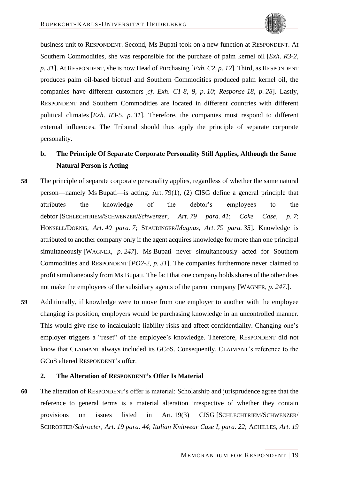business unit to RESPONDENT. Second, Ms Bupati took on a new function at RESPONDENT. At Southern Commodities, she was responsible for the purchase of palm kernel oil [*Exh*. *R3-2*, *p*. *31*]. At RESPONDENT, she is now Head of Purchasing [*Exh*. *C2*, *p*. *12*]. Third, as RESPONDENT produces palm oil-based biofuel and Southern Commodities produced palm kernel oil, the companies have different customers [*cf*. *Exh*. *C1-8*, *9*, *p*. *10*; *Response-18*, *p*. *28*]. Lastly, RESPONDENT and Southern Commodities are located in different countries with different political climates [*Exh*. *R3-5*, *p*. *31*]. Therefore, the companies must respond to different external influences. The Tribunal should thus apply the principle of separate corporate personality.

# <span id="page-54-9"></span><span id="page-54-6"></span><span id="page-54-0"></span>**b. The Principle Of Separate Corporate Personality Still Applies, Although the Same Natural Person is Acting**

- <span id="page-54-4"></span><span id="page-54-3"></span>**58** The principle of separate corporate personality applies, regardless of whether the same natural person—namely Ms Bupati—is acting. Art. 79(1), (2) CISG define a general principle that attributes the knowledge of the debtor's employees to the debtor [SCHLECHTRIEM/SCHWENZER/*Schwenzer*, *Art*. *79 para. 41*; *Coke Case*, *p*. *7*; HONSELL/DORNIS, *Art*. *40 para. 7*; STAUDINGER/*Magnus*, *Art*. *79 para. 35*]. Knowledge is attributed to another company only if the agent acquires knowledge for more than one principal simultaneously [WAGNER, *p*. *247*]. Ms Bupati never simultaneously acted for Southern Commodities and RESPONDENT [*PO2-2*, *p*. *31*]. The companies furthermore never claimed to profit simultaneously from Ms Bupati. The fact that one company holds shares of the other does not make the employees of the subsidiary agents of the parent company [WAGNER, *p*. *247*.].
- <span id="page-54-7"></span>**59** Additionally, if knowledge were to move from one employer to another with the employee changing its position, employers would be purchasing knowledge in an uncontrolled manner. This would give rise to incalculable liability risks and affect confidentiality. Changing one's employer triggers a "reset" of the employee's knowledge. Therefore, RESPONDENT did not know that CLAIMANT always included its GCoS. Consequently, CLAIMANT's reference to the GCoS altered RESPONDENT's offer.

### <span id="page-54-8"></span><span id="page-54-5"></span><span id="page-54-2"></span><span id="page-54-1"></span>**2. The Alteration of RESPONDENT's Offer Is Material**

**60** The alteration of RESPONDENT's offer is material: Scholarship and jurisprudence agree that the reference to general terms is a material alteration irrespective of whether they contain provisions on issues listed in Art. 19(3) CISG [SCHLECHTRIEM/SCHWENZER/ SCHROETER/*Schroeter*, *Art*. *19 para. 44*; *Italian Knitwear Case I*, *para. 22*; ACHILLES, *Art*. *19*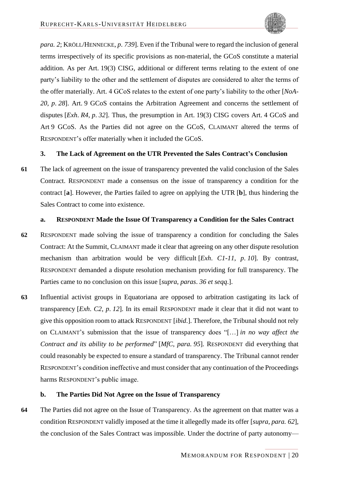<span id="page-55-3"></span>*para. 2*; KRÖLL/HENNECKE, *p*. *739*]. Even if the Tribunal were to regard the inclusion of general terms irrespectively of its specific provisions as non-material, the GCoS constitute a material addition. As per Art. 19(3) CISG, additional or different terms relating to the extent of one party's liability to the other and the settlement of disputes are considered to alter the terms of the offer materially. Art. 4 GCoS relates to the extent of one party's liability to the other [*NoA-20*, *p*. *28*]. Art. 9 GCoS contains the Arbitration Agreement and concerns the settlement of disputes [*Exh*. *R4*, *p*. *32*]. Thus, the presumption in Art. 19(3) CISG covers Art. 4 GCoS and Art 9 GCoS. As the Parties did not agree on the GCoS, CLAIMANT altered the terms of RESPONDENT's offer materially when it included the GCoS.

### <span id="page-55-0"></span>**3. The Lack of Agreement on the UTR Prevented the Sales Contract's Conclusion**

**61** The lack of agreement on the issue of transparency prevented the valid conclusion of the Sales Contract. RESPONDENT made a consensus on the issue of transparency a condition for the contract [**a**]. However, the Parties failed to agree on applying the UTR [**b**], thus hindering the Sales Contract to come into existence.

### <span id="page-55-4"></span><span id="page-55-1"></span>**a. RESPONDENT Made the Issue Of Transparency a Condition for the Sales Contract**

- **62** RESPONDENT made solving the issue of transparency a condition for concluding the Sales Contract: At the Summit, CLAIMANT made it clear that agreeing on any other dispute resolution mechanism than arbitration would be very difficult [*Exh*. *C1-11*, *p*. *10*]. By contrast, RESPONDENT demanded a dispute resolution mechanism providing for full transparency. The Parties came to no conclusion on this issue [*supra*, *paras*. *[36](#page-47-7) et seqq*.].
- **63** Influential activist groups in Equatoriana are opposed to arbitration castigating its lack of transparency [*Exh*. *C2*, *p*. *12*]. In its email RESPONDENT made it clear that it did not want to give this opposition room to attack RESPONDENT [*ibid*.]. Therefore, the Tribunal should not rely on CLAIMANT's submission that the issue of transparency does "[…] *in no way affect the Contract and its ability to be performed*" [*MfC*, *para. 95*]. RESPONDENT did everything that could reasonably be expected to ensure a standard of transparency. The Tribunal cannot render RESPONDENT's condition ineffective and must consider that any continuation of the Proceedings harms RESPONDENT's public image.

### <span id="page-55-2"></span>**b. The Parties Did Not Agree on the Issue of Transparency**

**64** The Parties did not agree on the Issue of Transparency. As the agreement on that matter was a condition RESPONDENT validly imposed at the time it allegedly made its offer [*supra*, *para. [62](#page-55-4)*], the conclusion of the Sales Contract was impossible. Under the doctrine of party autonomy—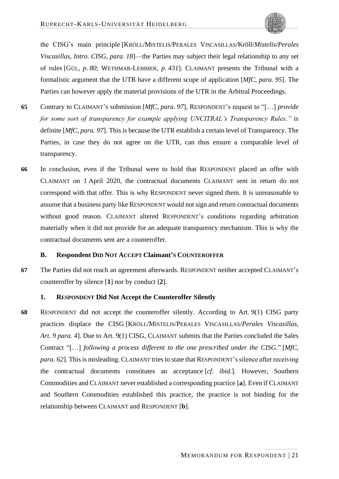<span id="page-56-5"></span><span id="page-56-3"></span><span id="page-56-2"></span>the CISG's main principle [KRÖLL/MISTELIS/PERALES VISCASILLAS/Kröll/*Mistelis/Perales Viscasillas*, *Intro*. *CISG*, *para. 18*]—the Parties may subject their legal relationship to any set of rules [GÜL, *p*. *80*; WETHMAR-LEMMER, *p*. *431*]. CLAIMANT presents the Tribunal with a formalistic argument that the UTR have a different scope of application [*MfC*, *para. 95*]. The Parties can however apply the material provisions of the UTR in the Arbitral Proceedings.

- **65** Contrary to CLAIMANT's submission [*MfC*, *para. 97*], RESPONDENT's request to "[…] *provide for some sort of transparency for example applying UNCITRAL's Transparency Rules*.*"* is definite [*MfC*, *para. 97*]. This is because the UTR establish a certain level of Transparency. The Parties, in case they do not agree on the UTR, can thus ensure a comparable level of transparency.
- **66** In conclusion, even if the Tribunal were to hold that RESPONDENT placed an offer with CLAIMANT on 1 April 2020, the contractual documents CLAIMANT sent in return do not correspond with that offer. This is why RESPONDENT never signed them. It is unreasonable to assume that a business party like RESPONDENT would not sign and return contractual documents without good reason. CLAIMANT altered RESPONDENT's conditions regarding arbitration materially when it did not provide for an adequate transparency mechanism. This is why the contractual documents sent are a counteroffer.

### <span id="page-56-0"></span>**B. Respondent DID NOT ACCEPT Claimant'S COUNTEROFFER**

**67** The Parties did not reach an agreement afterwards. RESPONDENT neither accepted CLAIMANT's counteroffer by silence [**1**] nor by conduct [**2**].

### <span id="page-56-4"></span><span id="page-56-1"></span>**1. RESPONDENT Did Not Accept the Counteroffer Silently**

**68** RESPONDENT did not accept the counteroffer silently. According to Art. 9(1) CISG party practices displace the CISG [KRÖLL/MISTELIS/PERALES VISCASILLAS/*Perales Viscasillas*, *Art*. *9 para. 4*]. Due to Art. 9(1) CISG, CLAIMANT submits that the Parties concluded the Sales Contract "[…] *following a process different to the one prescribed under the CISG*." [*MfC*, *para. 62*]. This is misleading. CLAIMANT tries to state that RESPONDENT's silence after receiving the contractual documents constitutes an acceptance [*cf*. *ibid*.]. However, Southern Commodities and CLAIMANT never established a corresponding practice [**a**]. Even if CLAIMANT and Southern Commodities established this practice, the practice is not binding for the relationship between CLAIMANT and RESPONDENT [**b**].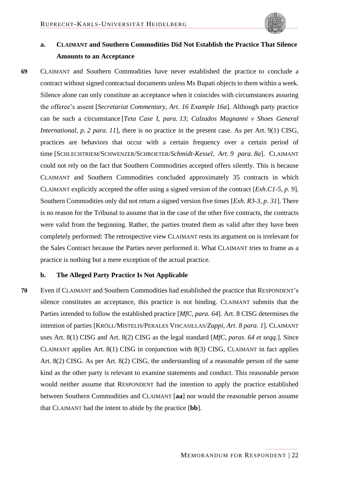<span id="page-57-4"></span>

# <span id="page-57-5"></span><span id="page-57-0"></span>**a. CLAIMANT and Southern Commodities Did Not Establish the Practice That Silence Amounts to an Acceptance**

<span id="page-57-6"></span><span id="page-57-3"></span>**69** CLAIMANT and Southern Commodities have never established the practice to conclude a contract without signed contractual documents unless Ms Bupati objects to them within a week. Silence alone can only constitute an acceptance when it coincides with circumstances assuring the offeree's assent [*Secretariat Commentary*, *Art*. *16 Example 16a*]. Although party practice can be such a circumstance [*Teta Case I*, *para. 13*; *Calzados Magnanni v Shoes General International*, *p*. *2 para. 11*], there is no practice in the present case. As per Art. 9(1) CISG, practices are behaviors that occur with a certain frequency over a certain period of time [SCHLECHTRIEM/SCHWENZER/SCHROETER/*Schmidt-Kessel*, *Art*. *9 para. 8a*]. CLAIMANT could not rely on the fact that Southern Commodities accepted offers silently. This is because CLAIMANT and Southern Commodities concluded approximately 35 contracts in which CLAIMANT explicitly accepted the offer using a signed version of the contract [*Exh*.*C1-5*, *p*. *9*]. Southern Commodities only did not return a signed version five times [*Exh*. *R3-3*, *p*. *31*]. There is no reason for the Tribunal to assume that in the case of the other five contracts, the contracts were valid from the beginning. Rather, the parties treated them as valid after they have been completely performed: The retrospective view CLAIMANT rests its argument on is irrelevant for the Sales Contract because the Parties never performed it. What CLAIMANT tries to frame as a practice is nothing but a mere exception of the actual practice.

#### <span id="page-57-7"></span><span id="page-57-2"></span><span id="page-57-1"></span>**b. The Alleged Party Practice Is Not Applicable**

**70** Even if CLAIMANT and Southern Commodities had established the practice that RESPONDENT's silence constitutes an acceptance, this practice is not binding. CLAIMANT submits that the Parties intended to follow the established practice [*MfC*, *para. 64*]. Art. 8 CISG determines the intention of parties [KRÖLL/MISTELIS/PERALES VISCASILLAS/*Zuppi*, *Art*. *8 para. 1*]. CLAIMANT uses Art. 8(1) CISG and Art. 8(2) CISG as the legal standard [*MfC*, *paras*. *64 et seqq*.]. Since CLAIMANT applies Art. 8(1) CISG in conjunction with 8(3) CISG, CLAIMANT in fact applies Art. 8(2) CISG. As per Art. 8(2) CISG, the understanding of a reasonable person of the same kind as the other party is relevant to examine statements and conduct. This reasonable person would neither assume that RESPONDENT had the intention to apply the practice established between Southern Commodities and CLAIMANT [**aa**] nor would the reasonable person assume that CLAIMANT had the intent to abide by the practice [**bb**].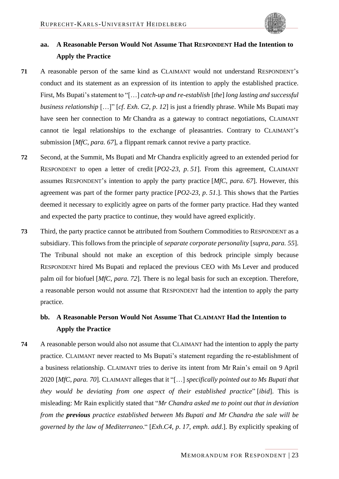

# <span id="page-58-0"></span>**aa. A Reasonable Person Would Not Assume That RESPONDENT Had the Intention to Apply the Practice**

- **71** A reasonable person of the same kind as CLAIMANT would not understand RESPONDENT's conduct and its statement as an expression of its intention to apply the established practice. First, Ms Bupati's statement to "[…] *catch-up and re-establish* [*the*] *long lasting and successful business relationship* […]" [*cf*. *Exh*. *C2*, *p*. *12*] is just a friendly phrase. While Ms Bupati may have seen her connection to Mr Chandra as a gateway to contract negotiations, CLAIMANT cannot tie legal relationships to the exchange of pleasantries. Contrary to CLAIMANT's submission [*MfC*, *para. 67*], a flippant remark cannot revive a party practice.
- **72** Second, at the Summit, Ms Bupati and Mr Chandra explicitly agreed to an extended period for RESPONDENT to open a letter of credit [*PO2-23*, *p*. *51*]. From this agreement, CLAIMANT assumes RESPONDENT's intention to apply the party practice [*MfC*, *para. 67*]. However, this agreement was part of the former party practice [*PO2-23*, *p*. *51*.]. This shows that the Parties deemed it necessary to explicitly agree on parts of the former party practice. Had they wanted and expected the party practice to continue, they would have agreed explicitly.
- **73** Third, the party practice cannot be attributed from Southern Commodities to RESPONDENT as a subsidiary. This follows from the principle of *separate corporate personality* [*supra*, *para. [55](#page-53-9)*]. The Tribunal should not make an exception of this bedrock principle simply because RESPONDENT hired Ms Bupati and replaced the previous CEO with Ms Lever and produced palm oil for biofuel [*MfC*, *para. 72*]. There is no legal basis for such an exception. Therefore, a reasonable person would not assume that RESPONDENT had the intention to apply the party practice.

# <span id="page-58-1"></span>**bb. A Reasonable Person Would Not Assume That CLAIMANT Had the Intention to Apply the Practice**

**74** A reasonable person would also not assume that CLAIMANT had the intention to apply the party practice. CLAIMANT never reacted to Ms Bupati's statement regarding the re-establishment of a business relationship. CLAIMANT tries to derive its intent from Mr Rain's email on 9 April 2020 [*MfC*, *para. 70*]. CLAIMANT alleges that it "[…] *specifically pointed out to Ms Bupati that they would be deviating from one aspect of their established practice*" [*ibid*]. This is misleading: Mr Rain explicitly stated that "*Mr Chandra asked me to point out that in deviation from the previous practice established between Ms Bupati and Mr Chandra the sale will be governed by the law of Mediterraneo*." [*Exh*.*C4*, *p*. *17*, *emph*. *add*.]. By explicitly speaking of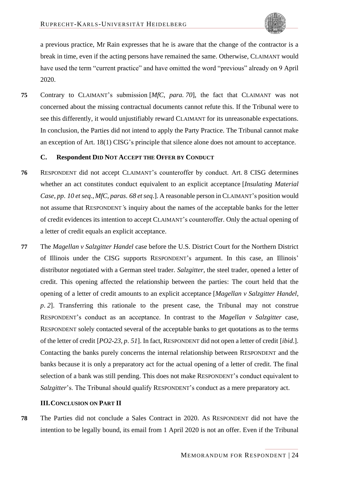<span id="page-59-2"></span>

a previous practice, Mr Rain expresses that he is aware that the change of the contractor is a break in time, even if the acting persons have remained the same. Otherwise, CLAIMANT would have used the term "current practice" and have omitted the word "previous" already on 9 April 2020.

**75** Contrary to CLAIMANT's submission [*MfC*, *para. 70*], the fact that CLAIMANT was not concerned about the missing contractual documents cannot refute this. If the Tribunal were to see this differently, it would unjustifiably reward CLAIMANT for its unreasonable expectations. In conclusion, the Parties did not intend to apply the Party Practice. The Tribunal cannot make an exception of Art. 18(1) CISG's principle that silence alone does not amount to acceptance.

### <span id="page-59-0"></span>**C. Respondent DID NOT ACCEPT THE OFFER BY CONDUCT**

- **76** RESPONDENT did not accept CLAIMANT's counteroffer by conduct. Art. 8 CISG determines whether an act constitutes conduct equivalent to an explicit acceptance [*Insulating Material Case*, *pp*. *10 et seq*., *MfC*, *paras*. *68 et seq*.]. A reasonable person in CLAIMANT's position would not assume that RESPONDENT*'*s inquiry about the names of the acceptable banks for the letter of credit evidences its intention to accept CLAIMANT's counteroffer. Only the actual opening of a letter of credit equals an explicit acceptance.
- <span id="page-59-3"></span>**77** The *Magellan v Salzgitter Handel* case before the U.S. District Court for the Northern District of Illinois under the CISG supports RESPONDENT's argument. In this case, an Illinois' distributor negotiated with a German steel trader. *Salzgitter*, the steel trader, opened a letter of credit. This opening affected the relationship between the parties: The court held that the opening of a letter of credit amounts to an explicit acceptance [*Magellan v Salzgitter Handel*, *p*. *2*]. Transferring this rationale to the present case, the Tribunal may not construe RESPONDENT's conduct as an acceptance. In contrast to the *Magellan v Salzgitter* case, RESPONDENT solely contacted several of the acceptable banks to get quotations as to the terms of the letter of credit [*PO2-23*, *p*. *51*]. In fact, RESPONDENT did not open a letter of credit [*ibid*.]. Contacting the banks purely concerns the internal relationship between RESPONDENT and the banks because it is only a preparatory act for the actual opening of a letter of credit. The final selection of a bank was still pending. This does not make RESPONDENT's conduct equivalent to *Salzgitter*'s. The Tribunal should qualify RESPONDENT's conduct as a mere preparatory act.

### <span id="page-59-1"></span>**III.CONCLUSION ON PART II**

**78** The Parties did not conclude a Sales Contract in 2020. AS RESPONDENT did not have the intention to be legally bound, its email from 1 April 2020 is not an offer. Even if the Tribunal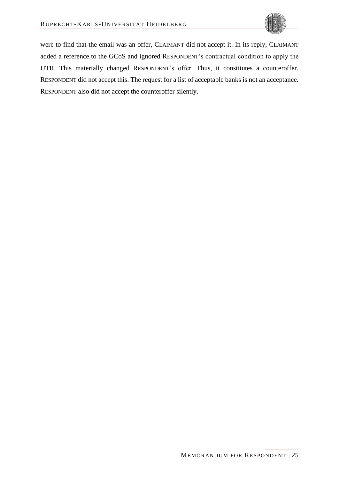

were to find that the email was an offer, CLAIMANT did not accept it. In its reply, CLAIMANT added a reference to the GCoS and ignored RESPONDENT's contractual condition to apply the UTR. This materially changed RESPONDENT's offer. Thus, it constitutes a counteroffer. RESPONDENT did not accept this. The request for a list of acceptable banks is not an acceptance. RESPONDENT also did not accept the counteroffer silently.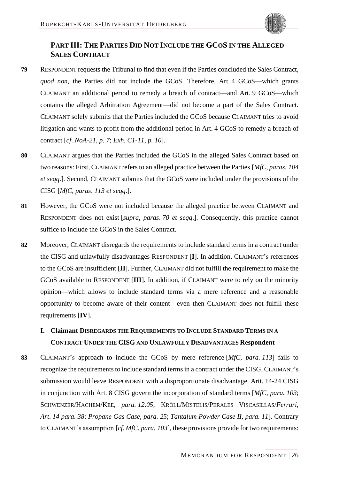

# <span id="page-61-0"></span>**PART III: THE PARTIES DID NOT INCLUDE THE GCOS IN THE ALLEGED SALES CONTRACT**

- <span id="page-61-6"></span>**79** RESPONDENT requests the Tribunal to find that even if the Parties concluded the Sales Contract, *quod non*, the Parties did not include the GCoS. Therefore, Art. 4 GCoS—which grants CLAIMANT an additional period to remedy a breach of contract—and Art. 9 GCoS—which contains the alleged Arbitration Agreement—did not become a part of the Sales Contract. CLAIMANT solely submits that the Parties included the GCoS because CLAIMANT tries to avoid litigation and wants to profit from the additional period in Art. 4 GCoS to remedy a breach of contract [*cf*. *NoA-21*, *p*. *7*; *Exh*. *C1-11*, *p*. *10*].
- **80** CLAIMANT argues that the Parties included the GCoS in the alleged Sales Contract based on two reasons: First, CLAIMANT refers to an alleged practice between the Parties [*MfC*, *paras*. *104 et seqq*.]. Second, CLAIMANT submits that the GCoS were included under the provisions of the CISG [*MfC*, *paras*. *113 et seqq*.].
- **81** However, the GCoS were not included because the alleged practice between CLAIMANT and RESPONDENT does not exist [*supra*, *paras*. *[70](#page-57-7) et seqq*.]. Consequently, this practice cannot suffice to include the GCoS in the Sales Contract.
- **82** Moreover, CLAIMANT disregards the requirements to include standard terms in a contract under the CISG and unlawfully disadvantages RESPONDENT [**I**]. In addition, CLAIMANT's references to the GCoS are insufficient [**II**]. Further, CLAIMANT did not fulfill the requirement to make the GCoS available to RESPONDENT [**III**]. In addition, if CLAIMANT were to rely on the minority opinion—which allows to include standard terms via a mere reference and a reasonable opportunity to become aware of their content—even then CLAIMANT does not fulfill these requirements [**IV**].

# <span id="page-61-5"></span><span id="page-61-2"></span><span id="page-61-1"></span>**I. Claimant DISREGARDS THE REQUIREMENTS TO INCLUDE STANDARD TERMS IN A CONTRACT UNDER THE CISG AND UNLAWFULLY DISADVANTAGES Respondent**

<span id="page-61-7"></span><span id="page-61-4"></span><span id="page-61-3"></span>**83** CLAIMANT's approach to include the GCoS by mere reference [*MfC*, *para. 113*] fails to recognize the requirements to include standard terms in a contract under the CISG. CLAIMANT's submission would leave RESPONDENT with a disproportionate disadvantage. Artt. 14*-*24 CISG in conjunction with Art. 8 CISG govern the incorporation of standard terms [*MfC*, *para. 103*; SCHWENZER/HACHEM/KEE, *para. 12*.*05*; KRÖLL/MISTELIS/PERALES VISCASILLAS/*Ferrari*, *Art*. *14 para. 38*; *Propane Gas Case*, *para. 25*; *Tantalum Powder Case II*, *para. 11*]. Contrary to CLAIMANT's assumption [*cf*. *MfC*, *para. 103*], these provisions provide for two requirements: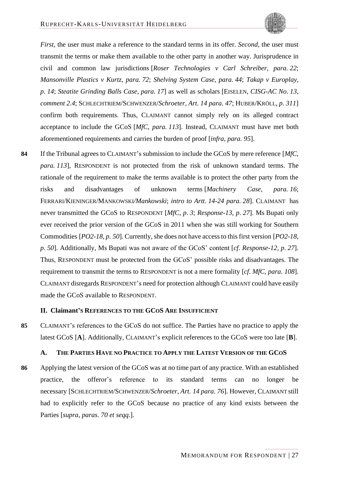<span id="page-62-12"></span><span id="page-62-8"></span><span id="page-62-7"></span><span id="page-62-3"></span>

<span id="page-62-11"></span><span id="page-62-10"></span><span id="page-62-9"></span><span id="page-62-6"></span><span id="page-62-4"></span>*First*, the user must make a reference to the standard terms in its offer. *Second*, the user must transmit the terms or make them available to the other party in another way. Jurisprudence in civil and common law jurisdictions [*Roser Technologies v Carl Schreiber*, *para. 22*; *Mansonville Plastics v Kurtz*, *para. 72*; *Shelving System Case*, *para. 44*; *Takap v Europlay*, *p*. *14*; *Steatite Grinding Balls Case*, *para. 17*] as well as scholars [EISELEN, *CISG-AC No*. *13*, *comment 2*.*4*; SCHLECHTRIEM/SCHWENZER/*Schroeter*, *Art*. *14 para. 47*; HUBER/KRÖLL, *p*. *311*] confirm both requirements. Thus, CLAIMANT cannot simply rely on its alleged contract acceptance to include the GCoS [*MfC*, *para. 113*]. Instead, CLAIMANT must have met both aforementioned requirements and carries the burden of proof [*infra*, *para. [95](#page-64-11)*].

<span id="page-62-2"></span>**84** If the Tribunal agrees to CLAIMANT's submission to include the GCoS by mere reference [*MfC*, *para. 113*], RESPONDENT is not protected from the risk of unknown standard terms. The rationale of the requirement to make the terms available is to protect the other party from the risks and disadvantages of unknown terms [*Machinery Case*, *para. 16*; FERRARI/KIENINGER/MANKOWSKI*/Mankowski*; *intro to Artt*. *14-24 para. 28*]. CLAIMANT has never transmitted the GCoS to RESPONDENT [*MfC*, *p*. *3*; *Response-13*, *p*. *27*]. Ms Bupati only ever received the prior version of the GCoS in 2011 when she was still working for Southern Commodities [*PO2-18*, *p*. *50*]. Currently, she does not have access to this first version [*PO2-18*, *p*. *50*]. Additionally, Ms Bupati was not aware of the GCoS' content [*cf*. *Response-12*, *p*. *27*]. Thus, RESPONDENT must be protected from the GCoS' possible risks and disadvantages. The requirement to transmit the terms to RESPONDENT is not a mere formality [*cf*. *MfC*, *para. 108*]. CLAIMANT disregards RESPONDENT's need for protection although CLAIMANT could have easily made the GCoS available to RESPONDENT.

### <span id="page-62-13"></span><span id="page-62-0"></span>**II. Claimant'S REFERENCES TO THE GCOS ARE INSUFFICIENT**

**85** CLAIMANT's references to the GCoS do not suffice. The Parties have no practice to apply the latest GCoS [**A**]. Additionally, CLAIMANT's explicit references to the GCoS were too late [**B**].

#### <span id="page-62-5"></span><span id="page-62-1"></span>**A. THE PARTIES HAVE NO PRACTICE TO APPLY THE LATEST VERSION OF THE GCOS**

**86** Applying the latest version of the GCoS was at no time part of any practice. With an established practice, the offeror's reference to its standard terms can no longer be necessary [SCHLECHTRIEM/SCHWENZER/*Schroeter*, *Art*. *14 para. 76*]. However, CLAIMANT still had to explicitly refer to the GCoS because no practice of any kind exists between the Parties [*supra*, *paras*. *[70](#page-57-7) et seqq*.].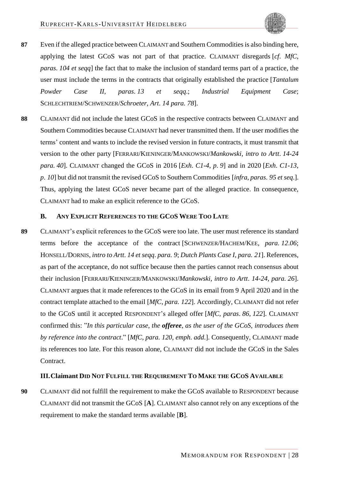- <span id="page-63-7"></span>**87** Even if the alleged practice between CLAIMANT and Southern Commodities is also binding here, applying the latest GCoS was not part of that practice. CLAIMANT disregards [*cf*. *MfC*, *paras*. *104 et seqq*] the fact that to make the inclusion of standard terms part of a practice, the user must include the terms in the contracts that originally established the practice [*Tantalum Powder Case II*, *paras*. *13 et seqq*.; *Industrial Equipment Case*; SCHLECHTRIEM/SCHWENZER/*Schroeter*, *Art*. *14 para. 78*].
- <span id="page-63-10"></span><span id="page-63-9"></span><span id="page-63-5"></span>**88** CLAIMANT did not include the latest GCoS in the respective contracts between CLAIMANT and Southern Commodities because CLAIMANT had never transmitted them. If the user modifies the terms' content and wants to include the revised version in future contracts, it must transmit that version to the other party [FERRARI/KIENINGER/MANKOWSKI/*Mankowski*, *intro to Artt*. *14-24 para. 40*]. CLAIMANT changed the GCoS in 2016 [*Exh*. *C1-4*, *p*. *9*] and in 2020 [*Exh*. *C1-13*, *p*. *10*] but did not transmit the revised GCoS to Southern Commodities [*infra*, *paras*. *[95](#page-64-11) et seq*.]. Thus, applying the latest GCoS never became part of the alleged practice. In consequence, CLAIMANT had to make an explicit reference to the GCoS.

### <span id="page-63-8"></span><span id="page-63-6"></span><span id="page-63-3"></span><span id="page-63-2"></span><span id="page-63-0"></span>**B. ANY EXPLICIT REFERENCES TO THE GCOS WERE TOO LATE**

<span id="page-63-4"></span>**89** CLAIMANT's explicit references to the GCoS were too late. The user must reference its standard terms before the acceptance of the contract [SCHWENZER/HACHEM/KEE, *para. 12*.*06*; HONSELL/DORNIS, *intro to Artt*. *14 et seqq*. *para. 9*; *Dutch Plants Case I*, *para. 21*]. References, as part of the acceptance, do not suffice because then the parties cannot reach consensus about their inclusion [FERRARI/KIENINGER/MANKOWSKI/*Mankowski*, *intro to Artt*. *14-24*, *para. 26*]. CLAIMANT argues that it made references to the GCoS in its email from 9 April 2020 and in the contract template attached to the email [*MfC*, *para. 122*]. Accordingly, CLAIMANT did not refer to the GCoS until it accepted RESPONDENT's alleged offer [*MfC*, *paras*. *86*, *122*]. CLAIMANT confirmed this: "*In this particular case*, *the offeree*, *as the user of the GCoS*, *introduces them by reference into the contract*." [*MfC*, *para. 120*, *emph*. *add*.]. Consequently, CLAIMANT made its references too late. For this reason alone, CLAIMANT did not include the GCoS in the Sales Contract.

#### <span id="page-63-1"></span>**III.Claimant DID NOT FULFILL THE REQUIREMENT TO MAKE THE GCOS AVAILABLE**

**90** CLAIMANT did not fulfill the requirement to make the GCoS available to RESPONDENT because CLAIMANT did not transmit the GCoS [**A**]. CLAIMANT also cannot rely on any exceptions of the requirement to make the standard terms available [**B**].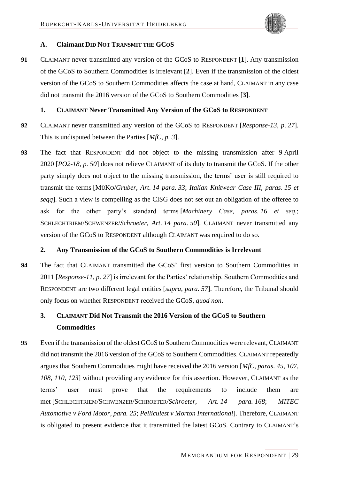

#### <span id="page-64-0"></span>**A. Claimant DID NOT TRANSMIT THE GCOS**

**91** CLAIMANT never transmitted any version of the GCoS to RESPONDENT [**1**]. Any transmission of the GCoS to Southern Commodities is irrelevant [**2**]. Even if the transmission of the oldest version of the GCoS to Southern Commodities affects the case at hand, CLAIMANT in any case did not transmit the 2016 version of the GCoS to Southern Commodities [**3**].

#### <span id="page-64-1"></span>**1. CLAIMANT Never Transmitted Any Version of the GCoS to RESPONDENT**

- **92** CLAIMANT never transmitted any version of the GCoS to RESPONDENT [*Response-13*, *p*. *27*]. This is undisputed between the Parties [*MfC*, *p*. *3*].
- <span id="page-64-12"></span><span id="page-64-4"></span>**93** The fact that RESPONDENT did not object to the missing transmission after 9 April 2020 [*PO2-18*, *p*. *50*] does not relieve CLAIMANT of its duty to transmit the GCoS. If the other party simply does not object to the missing transmission, the terms' user is still required to transmit the terms [MÜKO/*Gruber*, *Art*. *14 para. 33*; *Italian Knitwear Case III*, *paras*. *15 et seqq*]. Such a view is compelling as the CISG does not set out an obligation of the offeree to ask for the other party's standard terms [*Machinery Case*, *paras*. *16 et seq*.; SCHLECHTRIEM/SCHWENZER/*Schroeter*, *Art*. *14 para. 50*]. CLAIMANT never transmitted any version of the GCoS to RESPONDENT although CLAIMANT was required to do so.

#### <span id="page-64-9"></span><span id="page-64-7"></span><span id="page-64-5"></span><span id="page-64-2"></span>**2. Any Transmission of the GCoS to Southern Commodities is Irrelevant**

**94** The fact that CLAIMANT transmitted the GCoS' first version to Southern Commodities in 2011 [*Response-11*, *p*. *27*] is irrelevant for the Parties' relationship. Southern Commodities and RESPONDENT are two different legal entities [*supra*, *para. [57](#page-53-10)*]. Therefore, the Tribunal should only focus on whether RESPONDENT received the GCoS, *quod non*.

# <span id="page-64-10"></span><span id="page-64-3"></span>**3. CLAIMANT Did Not Transmit the 2016 Version of the GCoS to Southern Commodities**

<span id="page-64-11"></span><span id="page-64-8"></span><span id="page-64-6"></span>**95** Even if the transmission of the oldest GCoS to Southern Commodities were relevant, CLAIMANT did not transmit the 2016 version of the GCoS to Southern Commodities. CLAIMANT repeatedly argues that Southern Commodities might have received the 2016 version [*MfC*, *paras*. *45*, *107*, *108*, *110*, *123*] without providing any evidence for this assertion. However, CLAIMANT as the terms' user must prove that the requirements to include them are met [SCHLECHTRIEM/SCHWENZER/SCHROETER/*Schroeter*, *Art*. *14 para. 168*; *MITEC Automotive v Ford Motor*, *para. 25*; *Pelliculest v Morton International*]. Therefore, CLAIMANT is obligated to present evidence that it transmitted the latest GCoS. Contrary to CLAIMANT's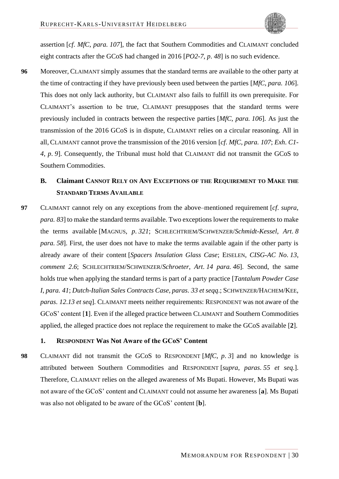

assertion [*cf*. *MfC*, *para. 107*], the fact that Southern Commodities and CLAIMANT concluded eight contracts after the GCoS had changed in 2016 [*PO2-7*, *p*. *48*] is no such evidence.

**96** Moreover, CLAIMANT simply assumes that the standard terms are available to the other party at the time of contracting if they have previously been used between the parties [*MfC*, *para. 106*]. This does not only lack authority, but CLAIMANT also fails to fulfill its own prerequisite. For CLAIMANT's assertion to be true, CLAIMANT presupposes that the standard terms were previously included in contracts between the respective parties [*MfC*, *para. 106*]. As just the transmission of the 2016 GCoS is in dispute, CLAIMANT relies on a circular reasoning. All in all, CLAIMANT cannot prove the transmission of the 2016 version [*cf*. *MfC*, *para. 107*; *Exh*. *C1- 4*, *p*. *9*]. Consequently, the Tribunal must hold that CLAIMANT did not transmit the GCoS to Southern Commodities.

# <span id="page-65-8"></span><span id="page-65-5"></span><span id="page-65-3"></span><span id="page-65-2"></span><span id="page-65-0"></span>**B. Claimant CANNOT RELY ON ANY EXCEPTIONS OF THE REQUIREMENT TO MAKE THE STANDARD TERMS AVAILABLE**

**97** CLAIMANT cannot rely on any exceptions from the above–mentioned requirement [*cf*. *supra*, *para. [83](#page-61-7)*] to make the standard terms available. Two exceptions lower the requirements to make the terms available [MAGNUS, *p*. *321*; SCHLECHTRIEM/SCHWENZER/*Schmidt-Kessel*, *Art*. *8 para.* 58. First, the user does not have to make the terms available again if the other party is already aware of their content [*Spacers Insulation Glass Case*; EISELEN, *CISG-AC No*. *13*, *comment 2*.*6*; SCHLECHTRIEM/SCHWENZER/*Schroeter*, *Art*. *14 para. 46*]. Second, the same holds true when applying the standard terms is part of a party practice [*Tantalum Powder Case I*, *para. 41*; *Dutch-Italian Sales Contracts Case*, *paras*. *33 et seqq*.; SCHWENZER/HACHEM/KEE, *paras*. *12*.*13 et seq*]. CLAIMANT meets neither requirements: RESPONDENT was not aware of the GCoS' content [**1**]. Even if the alleged practice between CLAIMANT and Southern Commodities applied, the alleged practice does not replace the requirement to make the GCoS available [**2**].

### <span id="page-65-7"></span><span id="page-65-6"></span><span id="page-65-4"></span><span id="page-65-1"></span>**1. RESPONDENT Was Not Aware of the GCoS' Content**

**98** CLAIMANT did not transmit the GCoS to RESPONDENT [*MfC*, *p*. *3*] and no knowledge is attributed between Southern Commodities and RESPONDENT [*supra*, *paras*. *[55](#page-53-9) et seq*.]. Therefore, CLAIMANT relies on the alleged awareness of Ms Bupati. However, Ms Bupati was not aware of the GCoS' content and CLAIMANT could not assume her awareness [**a**]. Ms Bupati was also not obligated to be aware of the GCoS' content [**b**].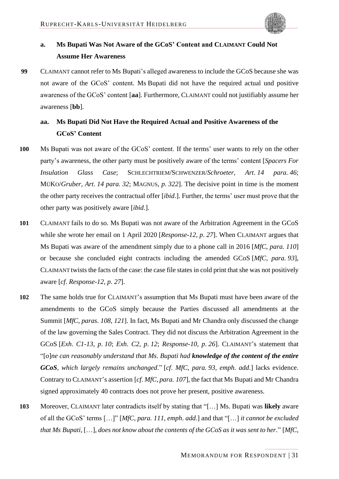<span id="page-66-5"></span>

# <span id="page-66-0"></span>**a. Ms Bupati Was Not Aware of the GCoS' Content and CLAIMANT Could Not Assume Her Awareness**

**99** CLAIMANT cannot refer to Ms Bupati's alleged awareness to include the GCoS because she was not aware of the GCoS' content. Ms Bupati did not have the required actual und positive awareness of the GCoS' content [**aa**]. Furthermore, CLAIMANT could not justifiably assume her awareness [**bb**].

# <span id="page-66-4"></span><span id="page-66-2"></span><span id="page-66-1"></span>**aa. Ms Bupati Did Not Have the Required Actual and Positive Awareness of the GCoS' Content**

- <span id="page-66-6"></span><span id="page-66-3"></span>**100** Ms Bupati was not aware of the GCoS' content. If the terms' user wants to rely on the other party's awareness, the other party must be positively aware of the terms' content [*Spacers For Insulation Glass Case*; SCHLECHTRIEM/SCHWENZER/*Schroeter*, *Art*. *14 para. 46*; MÜKO/*Gruber*, *Art*. *14 para. 32*; MAGNUS, *p*. *322*]. The decisive point in time is the moment the other party receives the contractual offer [*ibid*.]. Further, the terms' user must prove that the other party was positively aware [*ibid*.].
- **101** CLAIMANT fails to do so. Ms Bupati was not aware of the Arbitration Agreement in the GCoS while she wrote her email on 1 April 2020 [*Response-12*, *p*. *27*]. When CLAIMANT argues that Ms Bupati was aware of the amendment simply due to a phone call in 2016 [*MfC*, *para. 110*] or because she concluded eight contracts including the amended GCoS [*MfC*, *para. 93*], CLAIMANT twists the facts of the case: the case file states in cold print that she was not positively aware [*cf*. *Response-12*, *p*. *27*].
- **102** The same holds true for CLAIMANT's assumption that Ms Bupati must have been aware of the amendments to the GCoS simply because the Parties discussed all amendments at the Summit [*MfC*, *paras*. *108*, *121*]. In fact, Ms Bupati and Mr Chandra only discussed the change of the law governing the Sales Contract. They did not discuss the Arbitration Agreement in the GCoS [*Exh*. *C1-13*, *p*. *10*; *Exh*. *C2*, *p*. *12*; *Response-10*, *p*. *26*]. CLAIMANT's statement that "[*o*]*ne can reasonably understand that Ms*. *Bupati had knowledge of the content of the entire GCoS*, *which largely remains unchanged*." [*cf*. *MfC*, *para. 93*, *emph*. *add*.] lacks evidence. Contrary to CLAIMANT's assertion [*cf*. *MfC*, *para. 107*], the fact that Ms Bupati and Mr Chandra signed approximately 40 contracts does not prove her present, positive awareness.
- **103** Moreover, CLAIMANT later contradicts itself by stating that "[…] Ms. Bupati was **likely** aware of all the GCoS' terms […]" [*MfC*, *para. 111*, *emph*. *add*.] and that "[…] *it cannot be excluded that Ms Bupati*, […], *does not know about the contents of the GCoS as it was sent to her*." [*MfC*,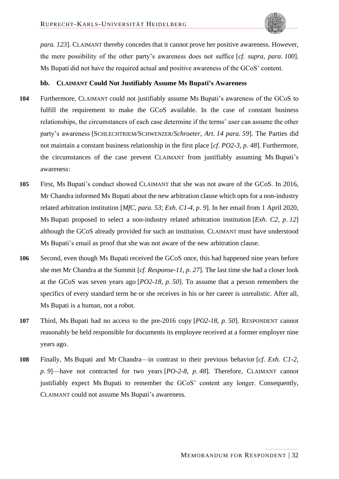

*para. 123*]. CLAIMANT thereby concedes that it cannot prove her positive awareness. However, the mere possibility of the other party's awareness does not suffice [*cf. supra*, *para. [100](#page-66-6)*]. Ms Bupati did not have the required actual and positive awareness of the GCoS' content.

#### <span id="page-67-1"></span><span id="page-67-0"></span>**bb. CLAIMANT Could Not Justifiably Assume Ms Bupati's Awareness**

- **104** Furthermore, CLAIMANT could not justifiably assume Ms Bupati's awareness of the GCoS to fulfill the requirement to make the GCoS available. In the case of constant business relationships, the circumstances of each case determine if the terms' user can assume the other party's awareness [SCHLECHTRIEM/SCHWENZER/*Schroeter*, *Art*. *14 para. 59*]. The Parties did not maintain a constant business relationship in the first place [*cf*. *PO2-3*, *p*. *48*]. Furthermore, the circumstances of the case prevent CLAIMANT from justifiably assuming Ms Bupati's awareness:
- **105** First, Ms Bupati's conduct showed CLAIMANT that she was not aware of the GCoS. In 2016, Mr Chandra informed Ms Bupati about the new arbitration clause which opts for a non-industry related arbitration institution [*MfC*, *para. 53*; *Exh*. *C1-4*, *p*. *9*]. In her email from 1 April 2020, Ms Bupati proposed to select a non-industry related arbitration institution [*Exh*. *C2*, *p*. *12*] although the GCoS already provided for such an institution. CLAIMANT must have understood Ms Bupati's email as proof that she was not aware of the new arbitration clause.
- **106** Second, even though Ms Bupati received the GCoS once, this had happened nine years before she met Mr Chandra at the Summit [*cf*. *Response-11*, *p*. *27*]. The last time she had a closer look at the GCoS was seven years ago [*PO2-18*, *p*. *50*]. To assume that a person remembers the specifics of every standard term he or she receives in his or her career is unrealistic. After all, Ms Bupati is a human, not a robot.
- **107** Third, Ms Bupati had no access to the pre-2016 copy [*PO2-18*, *p*. *50*]. RESPONDENT cannot reasonably be held responsible for documents its employee received at a former employer nine years ago.
- **108** Finally, Ms Bupati and Mr Chandra—in contrast to their previous behavior [*cf*. *Exh*. *C1-2*, *p*. *9*]—have not contracted for two years [*PO-2-8*, *p*. *48*]. Therefore, CLAIMANT cannot justifiably expect Ms Bupati to remember the GCoS' content any longer. Consequently, CLAIMANT could not assume Ms Bupati's awareness.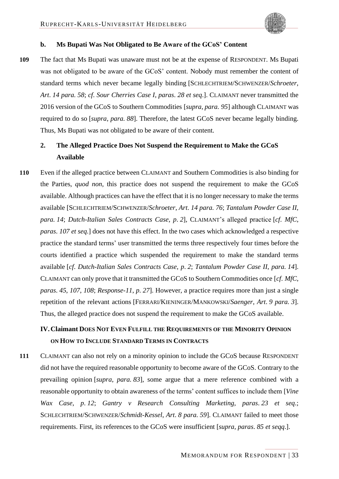<span id="page-68-4"></span>

#### <span id="page-68-9"></span><span id="page-68-0"></span>**b. Ms Bupati Was Not Obligated to Be Aware of the GCoS' Content**

**109** The fact that Ms Bupati was unaware must not be at the expense of RESPONDENT. Ms Bupati was not obligated to be aware of the GCoS' content. Nobody must remember the content of standard terms which never became legally binding [SCHLECHTRIEM/SCHWENZER/*Schroeter*, *Art*. *14 para. 58*; *cf*. *Sour Cherries Case I*, *paras*. *28 et seq*.]. CLAIMANT never transmitted the 2016 version of the GCoS to Southern Commodities [*supra*, *para. [95](#page-64-11)*] although CLAIMANT was required to do so [*supra*, *para. [88](#page-63-10)*]. Therefore, the latest GCoS never became legally binding. Thus, Ms Bupati was not obligated to be aware of their content.

# <span id="page-68-7"></span><span id="page-68-1"></span>**2. The Alleged Practice Does Not Suspend the Requirement to Make the GCoS Available**

<span id="page-68-11"></span><span id="page-68-5"></span>**110** Even if the alleged practice between CLAIMANT and Southern Commodities is also binding for the Parties, *quod non*, this practice does not suspend the requirement to make the GCoS available. Although practices can have the effect that it is no longer necessary to make the terms available [SCHLECHTRIEM/SCHWENZER/*Schroeter*, *Art*. *14 para. 76*; *Tantalum Powder Case II*, *para. 14*; *Dutch-Italian Sales Contracts Case*, *p*. *2*], CLAIMANT's alleged practice [*cf*. *MfC*, *paras*. *107 et seq*.] does not have this effect. In the two cases which acknowledged a respective practice the standard terms' user transmitted the terms three respectively four times before the courts identified a practice which suspended the requirement to make the standard terms available [*cf*. *Dutch-Italian Sales Contracts Case*, *p*. *2*; *Tantalum Powder Case II*, *para. 14*]. CLAIMANT can only prove that it transmitted the GCoS to Southern Commodities once [*cf*. *MfC*, *paras*. *45*, *107*, *108*; *Response-11*, *p*. *27*]. However, a practice requires more than just a single repetition of the relevant actions [FERRARI/KIENINGER/MANKOWSKI/*Saenger*, *Art*. *9 para. 3*]. Thus, the alleged practice does not suspend the requirement to make the GCoS available.

# <span id="page-68-10"></span><span id="page-68-3"></span><span id="page-68-2"></span>**IV.Claimant DOES NOT EVEN FULFILL THE REQUIREMENTS OF THE MINORITY OPINION ON HOW TO INCLUDE STANDARD TERMS IN CONTRACTS**

<span id="page-68-8"></span><span id="page-68-6"></span>**111** CLAIMANT can also not rely on a minority opinion to include the GCoS because RESPONDENT did not have the required reasonable opportunity to become aware of the GCoS. Contrary to the prevailing opinion [*supra*, *para. [83](#page-61-7)*], some argue that a mere reference combined with a reasonable opportunity to obtain awareness of the terms' content suffices to include them [*Vine Wax Case*, *p*. *12*; *Gantry v Research Consulting Marketing*, *paras*. *23 et seq*.; SCHLECHTRIEM/SCHWENZER/*Schmidt-Kessel*, *Art*. *8 para. 59*]. CLAIMANT failed to meet those requirements. First, its references to the GCoS were insufficient [*supra*, *paras*. *[85](#page-62-13) et seqq*.].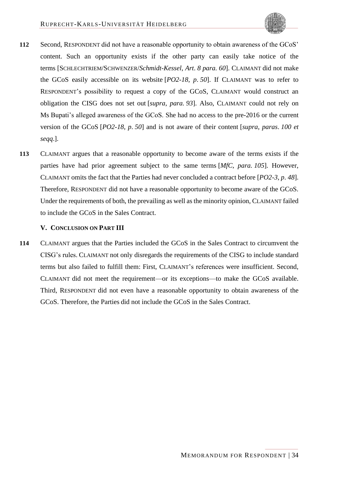

- <span id="page-69-1"></span>**112** Second, RESPONDENT did not have a reasonable opportunity to obtain awareness of the GCoS' content. Such an opportunity exists if the other party can easily take notice of the terms [SCHLECHTRIEM/SCHWENZER/*Schmidt-Kessel*, *Art*. *8 para. 60*]. CLAIMANT did not make the GCoS easily accessible on its website [*PO2-18*, *p*. *50*]. If CLAIMANT was to refer to RESPONDENT's possibility to request a copy of the GCoS, CLAIMANT would construct an obligation the CISG does not set out [*supra*, *para. [93](#page-64-12)*]. Also, CLAIMANT could not rely on Ms Bupati's alleged awareness of the GCoS. She had no access to the pre-2016 or the current version of the GCoS [*PO2-18*, *p*. *50*] and is not aware of their content [*supra*, *paras*. *[100](#page-66-6) et seqq*.].
- **113** CLAIMANT argues that a reasonable opportunity to become aware of the terms exists if the parties have had prior agreement subject to the same terms [*MfC*, *para. 105*]. However, CLAIMANT omits the fact that the Parties had never concluded a contract before [*PO2-3*, *p*. *48*]. Therefore, RESPONDENT did not have a reasonable opportunity to become aware of the GCoS. Under the requirements of both, the prevailing as well as the minority opinion, CLAIMANT failed to include the GCoS in the Sales Contract.

#### <span id="page-69-0"></span>**V. CONCLUSION ON PART III**

**114** CLAIMANT argues that the Parties included the GCoS in the Sales Contract to circumvent the CISG's rules. CLAIMANT not only disregards the requirements of the CISG to include standard terms but also failed to fulfill them: First, CLAIMANT's references were insufficient. Second, CLAIMANT did not meet the requirement—or its exceptions—to make the GCoS available. Third, RESPONDENT did not even have a reasonable opportunity to obtain awareness of the GCoS. Therefore, the Parties did not include the GCoS in the Sales Contract.